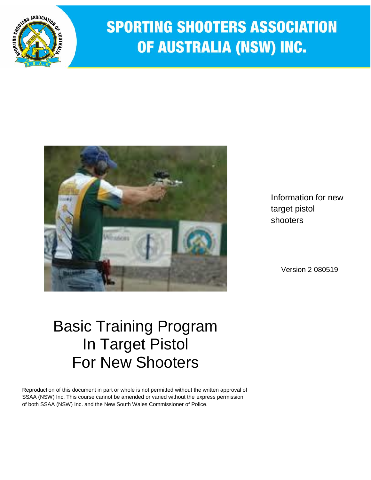

# **SPORTING SHOOTERS ASSOCIATION** OF AUSTRALIA (NSW) INC.



# Basic Training Program In Target Pistol For New Shooters

Reproduction of this document in part or whole is not permitted without the written approval of SSAA (NSW) Inc. This course cannot be amended or varied without the express permission of both SSAA (NSW) Inc. and the New South Wales Commissioner of Police.

Information for new target pistol shooters

Version 2 080519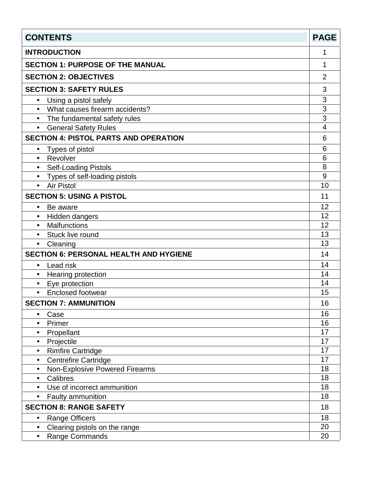| <b>CONTENTS</b>                               | <b>PAGE</b>    |
|-----------------------------------------------|----------------|
| <b>INTRODUCTION</b>                           | 1              |
| <b>SECTION 1: PURPOSE OF THE MANUAL</b>       | 1              |
| <b>SECTION 2: OBJECTIVES</b>                  | $\overline{2}$ |
| <b>SECTION 3: SAFETY RULES</b>                | 3              |
| Using a pistol safely<br>$\bullet$            | 3              |
| What causes firearm accidents?<br>$\bullet$   | 3              |
| The fundamental safety rules<br>$\bullet$     | 3              |
| <b>General Safety Rules</b><br>$\bullet$      | 4              |
| <b>SECTION 4: PISTOL PARTS AND OPERATION</b>  | 6              |
| Types of pistol<br>$\bullet$                  | 6              |
| • Revolver                                    | 6              |
| <b>Self-Loading Pistols</b><br>$\bullet$      | 8              |
| Types of self-loading pistols<br>$\bullet$    | 9              |
| <b>Air Pistol</b><br>$\bullet$                | 10             |
| <b>SECTION 5: USING A PISTOL</b>              | 11             |
| Be aware<br>$\bullet$                         | 12             |
| Hidden dangers<br>$\bullet$                   | 12             |
| <b>Malfunctions</b><br>$\bullet$              | 12             |
| Stuck live round<br>$\bullet$                 | 13             |
| Cleaning<br>$\bullet$                         | 13             |
| <b>SECTION 6: PERSONAL HEALTH AND HYGIENE</b> | 14             |
| Lead risk<br>$\bullet$                        | 14             |
| Hearing protection<br>$\bullet$               | 14             |
| Eye protection<br>$\bullet$                   | 14             |
| <b>Enclosed footwear</b><br>$\bullet$         | 15             |
| <b>SECTION 7: AMMUNITION</b>                  | 16             |
| Case<br>$\bullet$                             | 16             |
| Primer<br>$\bullet$                           | 16             |
| Propellant<br>$\bullet$                       | 17             |
| Projectile<br>$\bullet$                       | 17             |
| <b>Rimfire Cartridge</b><br>$\bullet$         | 17             |
| <b>Centrefire Cartridge</b><br>$\bullet$      | 17             |
| Non-Explosive Powered Firearms<br>$\bullet$   | 18             |
| Calibres<br>$\bullet$                         | 18             |
| Use of incorrect ammunition<br>$\bullet$      | 18             |
| Faulty ammunition<br>$\bullet$                | 18             |
| <b>SECTION 8: RANGE SAFETY</b>                | 18             |
| <b>Range Officers</b><br>$\bullet$            | 18             |
| Clearing pistols on the range<br>$\bullet$    | 20             |
| Range Commands<br>$\bullet$                   | 20             |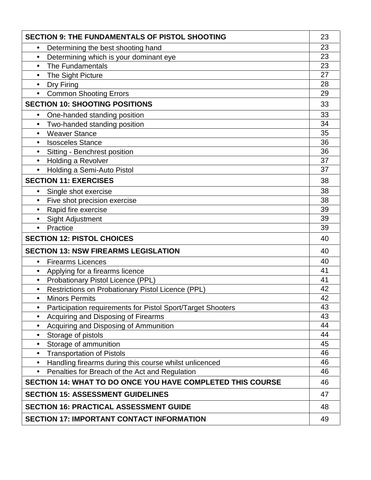| <b>SECTION 9: THE FUNDAMENTALS OF PISTOL SHOOTING</b>                    |    |  |
|--------------------------------------------------------------------------|----|--|
| Determining the best shooting hand<br>$\bullet$                          | 23 |  |
| Determining which is your dominant eye<br>$\bullet$                      | 23 |  |
| The Fundamentals<br>$\bullet$                                            | 23 |  |
| The Sight Picture<br>$\bullet$                                           | 27 |  |
| Dry Firing<br>$\bullet$                                                  | 28 |  |
| <b>Common Shooting Errors</b><br>$\bullet$                               | 29 |  |
| <b>SECTION 10: SHOOTING POSITIONS</b>                                    | 33 |  |
| One-handed standing position<br>$\bullet$                                | 33 |  |
| Two-handed standing position<br>$\bullet$                                | 34 |  |
| <b>Weaver Stance</b><br>$\bullet$                                        | 35 |  |
| <b>Isosceles Stance</b><br>$\bullet$                                     | 36 |  |
| Sitting - Benchrest position<br>$\bullet$                                | 36 |  |
| Holding a Revolver<br>$\bullet$                                          | 37 |  |
| Holding a Semi-Auto Pistol<br>$\bullet$                                  | 37 |  |
| <b>SECTION 11: EXERCISES</b>                                             | 38 |  |
| Single shot exercise<br>$\bullet$                                        | 38 |  |
| Five shot precision exercise                                             | 38 |  |
| Rapid fire exercise<br>$\bullet$                                         | 39 |  |
| <b>Sight Adjustment</b><br>$\bullet$                                     | 39 |  |
| Practice<br>$\bullet$                                                    | 39 |  |
| <b>SECTION 12: PISTOL CHOICES</b>                                        | 40 |  |
| <b>SECTION 13: NSW FIREARMS LEGISLATION</b>                              | 40 |  |
| <b>Firearms Licences</b><br>$\bullet$                                    | 40 |  |
| Applying for a firearms licence<br>$\bullet$                             | 41 |  |
| Probationary Pistol Licence (PPL)<br>$\bullet$                           | 41 |  |
| Restrictions on Probationary Pistol Licence (PPL)<br>$\bullet$           | 42 |  |
| <b>Minors Permits</b><br>$\bullet$                                       | 42 |  |
| Participation requirements for Pistol Sport/Target Shooters<br>$\bullet$ | 43 |  |
| Acquiring and Disposing of Firearms<br>$\bullet$                         | 43 |  |
| Acquiring and Disposing of Ammunition<br>$\bullet$                       | 44 |  |
| Storage of pistols<br>$\bullet$                                          | 44 |  |
| Storage of ammunition<br>$\bullet$                                       | 45 |  |
| <b>Transportation of Pistols</b><br>$\bullet$                            | 46 |  |
| Handling firearms during this course whilst unlicenced<br>$\bullet$      | 46 |  |
| Penalties for Breach of the Act and Regulation<br>$\bullet$              | 46 |  |
| SECTION 14: WHAT TO DO ONCE YOU HAVE COMPLETED THIS COURSE               | 46 |  |
| <b>SECTION 15: ASSESSMENT GUIDELINES</b>                                 | 47 |  |
| <b>SECTION 16: PRACTICAL ASSESSMENT GUIDE</b>                            | 48 |  |
| <b>SECTION 17: IMPORTANT CONTACT INFORMATION</b>                         |    |  |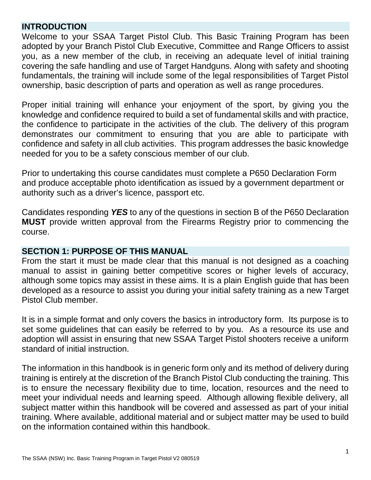### **INTRODUCTION**

Welcome to your SSAA Target Pistol Club. This Basic Training Program has been adopted by your Branch Pistol Club Executive, Committee and Range Officers to assist you, as a new member of the club, in receiving an adequate level of initial training covering the safe handling and use of Target Handguns. Along with safety and shooting fundamentals, the training will include some of the legal responsibilities of Target Pistol ownership, basic description of parts and operation as well as range procedures.

Proper initial training will enhance your enjoyment of the sport, by giving you the knowledge and confidence required to build a set of fundamental skills and with practice, the confidence to participate in the activities of the club. The delivery of this program demonstrates our commitment to ensuring that you are able to participate with confidence and safety in all club activities. This program addresses the basic knowledge needed for you to be a safety conscious member of our club.

Prior to undertaking this course candidates must complete a P650 Declaration Form and produce acceptable photo identification as issued by a government department or authority such as a driver's licence, passport etc.

Candidates responding *YES* to any of the questions in section B of the P650 Declaration **MUST** provide written approval from the Firearms Registry prior to commencing the course.

### **SECTION 1: PURPOSE OF THIS MANUAL**

From the start it must be made clear that this manual is not designed as a coaching manual to assist in gaining better competitive scores or higher levels of accuracy, although some topics may assist in these aims. It is a plain English guide that has been developed as a resource to assist you during your initial safety training as a new Target Pistol Club member.

It is in a simple format and only covers the basics in introductory form. Its purpose is to set some guidelines that can easily be referred to by you. As a resource its use and adoption will assist in ensuring that new SSAA Target Pistol shooters receive a uniform standard of initial instruction.

The information in this handbook is in generic form only and its method of delivery during training is entirely at the discretion of the Branch Pistol Club conducting the training. This is to ensure the necessary flexibility due to time, location, resources and the need to meet your individual needs and learning speed. Although allowing flexible delivery, all subject matter within this handbook will be covered and assessed as part of your initial training. Where available, additional material and or subject matter may be used to build on the information contained within this handbook.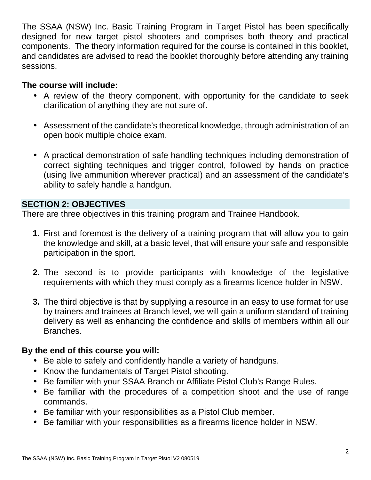The SSAA (NSW) Inc. Basic Training Program in Target Pistol has been specifically designed for new target pistol shooters and comprises both theory and practical components. The theory information required for the course is contained in this booklet, and candidates are advised to read the booklet thoroughly before attending any training sessions.

# **The course will include:**

- A review of the theory component, with opportunity for the candidate to seek clarification of anything they are not sure of.
- Assessment of the candidate's theoretical knowledge, through administration of an open book multiple choice exam.
- A practical demonstration of safe handling techniques including demonstration of correct sighting techniques and trigger control, followed by hands on practice (using live ammunition wherever practical) and an assessment of the candidate's ability to safely handle a handgun.

# **SECTION 2: OBJECTIVES**

There are three objectives in this training program and Trainee Handbook.

- **1.** First and foremost is the delivery of a training program that will allow you to gain the knowledge and skill, at a basic level, that will ensure your safe and responsible participation in the sport.
- **2.** The second is to provide participants with knowledge of the legislative requirements with which they must comply as a firearms licence holder in NSW.
- **3.** The third objective is that by supplying a resource in an easy to use format for use by trainers and trainees at Branch level, we will gain a uniform standard of training delivery as well as enhancing the confidence and skills of members within all our Branches.

# **By the end of this course you will:**

- Be able to safely and confidently handle a variety of handguns.
- Know the fundamentals of Target Pistol shooting.
- Be familiar with your SSAA Branch or Affiliate Pistol Club's Range Rules.
- Be familiar with the procedures of a competition shoot and the use of range commands.
- Be familiar with your responsibilities as a Pistol Club member.
- Be familiar with your responsibilities as a firearms licence holder in NSW.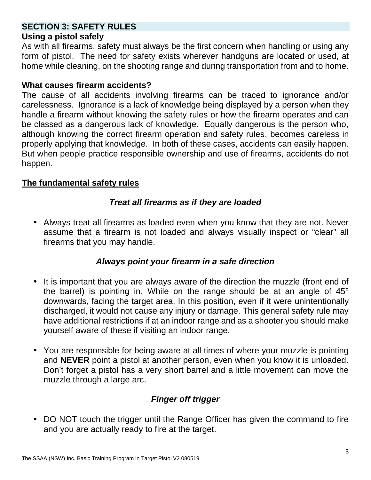# **SECTION 3: SAFETY RULES**

### **Using a pistol safely**

As with all firearms, safety must always be the first concern when handling or using any form of pistol. The need for safety exists wherever handguns are located or used, at home while cleaning, on the shooting range and during transportation from and to home.

### **What causes firearm accidents?**

The cause of all accidents involving firearms can be traced to ignorance and/or carelessness. Ignorance is a lack of knowledge being displayed by a person when they handle a firearm without knowing the safety rules or how the firearm operates and can be classed as a dangerous lack of knowledge. Equally dangerous is the person who, although knowing the correct firearm operation and safety rules, becomes careless in properly applying that knowledge. In both of these cases, accidents can easily happen. But when people practice responsible ownership and use of firearms, accidents do not happen.

### **The fundamental safety rules**

### *Treat all firearms as if they are loaded*

 Always treat all firearms as loaded even when you know that they are not. Never assume that a firearm is not loaded and always visually inspect or "clear" all firearms that you may handle.

### *Always point your firearm in a safe direction*

- It is important that you are always aware of the direction the muzzle (front end of the barrel) is pointing in. While on the range should be at an angle of 45° downwards, facing the target area. In this position, even if it were unintentionally discharged, it would not cause any injury or damage. This general safety rule may have additional restrictions if at an indoor range and as a shooter you should make yourself aware of these if visiting an indoor range.
- You are responsible for being aware at all times of where your muzzle is pointing and **NEVER** point a pistol at another person, even when you know it is unloaded. Don't forget a pistol has a very short barrel and a little movement can move the muzzle through a large arc.

# *Finger off trigger*

• DO NOT touch the trigger until the Range Officer has given the command to fire and you are actually ready to fire at the target.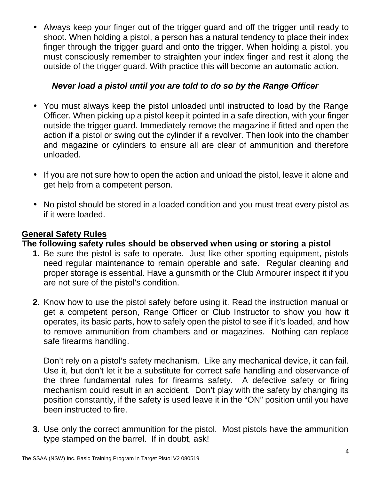Always keep your finger out of the trigger guard and off the trigger until ready to shoot. When holding a pistol, a person has a natural tendency to place their index finger through the trigger guard and onto the trigger. When holding a pistol, you must consciously remember to straighten your index finger and rest it along the outside of the trigger guard. With practice this will become an automatic action.

### *Never load a pistol until you are told to do so by the Range Officer*

- You must always keep the pistol unloaded until instructed to load by the Range Officer. When picking up a pistol keep it pointed in a safe direction, with your finger outside the trigger guard. Immediately remove the magazine if fitted and open the action if a pistol or swing out the cylinder if a revolver. Then look into the chamber and magazine or cylinders to ensure all are clear of ammunition and therefore unloaded.
- If you are not sure how to open the action and unload the pistol, leave it alone and get help from a competent person.
- No pistol should be stored in a loaded condition and you must treat every pistol as if it were loaded.

### **General Safety Rules**

**The following safety rules should be observed when using or storing a pistol**

- **1.** Be sure the pistol is safe to operate. Just like other sporting equipment, pistols need regular maintenance to remain operable and safe. Regular cleaning and proper storage is essential. Have a gunsmith or the Club Armourer inspect it if you are not sure of the pistol's condition.
- **2.** Know how to use the pistol safely before using it. Read the instruction manual or get a competent person, Range Officer or Club Instructor to show you how it operates, its basic parts, how to safely open the pistol to see if it's loaded, and how to remove ammunition from chambers and or magazines. Nothing can replace safe firearms handling.

Don't rely on a pistol's safety mechanism. Like any mechanical device, it can fail. Use it, but don't let it be a substitute for correct safe handling and observance of the three fundamental rules for firearms safety. A defective safety or firing mechanism could result in an accident. Don't play with the safety by changing its position constantly, if the safety is used leave it in the "ON" position until you have been instructed to fire.

**3.** Use only the correct ammunition for the pistol. Most pistols have the ammunition type stamped on the barrel. If in doubt, ask!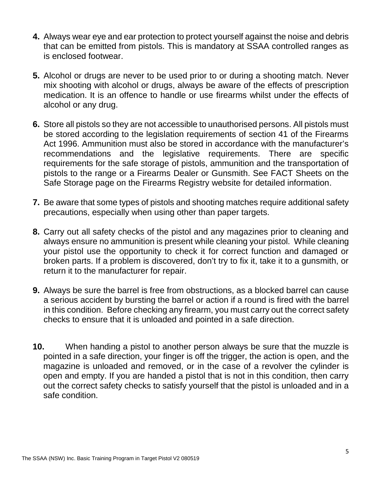- **4.** Always wear eye and ear protection to protect yourself against the noise and debris that can be emitted from pistols. This is mandatory at SSAA controlled ranges as is enclosed footwear.
- **5.** Alcohol or drugs are never to be used prior to or during a shooting match. Never mix shooting with alcohol or drugs, always be aware of the effects of prescription medication. It is an offence to handle or use firearms whilst under the effects of alcohol or any drug.
- **6.** Store all pistols so they are not accessible to unauthorised persons. All pistols must be stored according to the legislation requirements of section 41 of the Firearms Act 1996. Ammunition must also be stored in accordance with the manufacturer's recommendations and the legislative requirements. There are specific requirements for the safe storage of pistols, ammunition and the transportation of pistols to the range or a Firearms Dealer or Gunsmith. See FACT Sheets on the Safe Storage page on the Firearms Registry website for detailed information.
- **7.** Be aware that some types of pistols and shooting matches require additional safety precautions, especially when using other than paper targets.
- **8.** Carry out all safety checks of the pistol and any magazines prior to cleaning and always ensure no ammunition is present while cleaning your pistol. While cleaning your pistol use the opportunity to check it for correct function and damaged or broken parts. If a problem is discovered, don't try to fix it, take it to a gunsmith, or return it to the manufacturer for repair.
- **9.** Always be sure the barrel is free from obstructions, as a blocked barrel can cause a serious accident by bursting the barrel or action if a round is fired with the barrel in this condition. Before checking any firearm, you must carry out the correct safety checks to ensure that it is unloaded and pointed in a safe direction.
- **10.** When handing a pistol to another person always be sure that the muzzle is pointed in a safe direction, your finger is off the trigger, the action is open, and the magazine is unloaded and removed, or in the case of a revolver the cylinder is open and empty. If you are handed a pistol that is not in this condition, then carry out the correct safety checks to satisfy yourself that the pistol is unloaded and in a safe condition.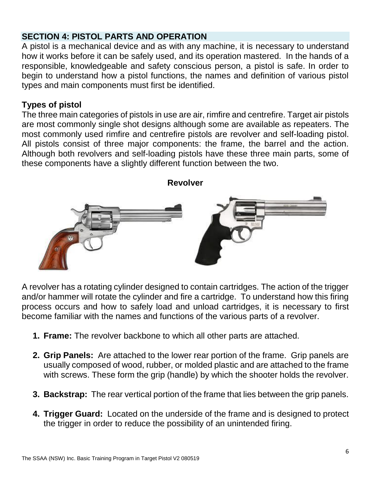# **SECTION 4: PISTOL PARTS AND OPERATION**

A pistol is a mechanical device and as with any machine, it is necessary to understand how it works before it can be safely used, and its operation mastered. In the hands of a responsible, knowledgeable and safety conscious person, a pistol is safe. In order to begin to understand how a pistol functions, the names and definition of various pistol types and main components must first be identified.

# **Types of pistol**

The three main categories of pistols in use are air, rimfire and centrefire. Target air pistols are most commonly single shot designs although some are available as repeaters. The most commonly used rimfire and centrefire pistols are revolver and self-loading pistol. All pistols consist of three major components: the frame, the barrel and the action. Although both revolvers and self-loading pistols have these three main parts, some of these components have a slightly different function between the two.





A revolver has a rotating cylinder designed to contain cartridges. The action of the trigger and/or hammer will rotate the cylinder and fire a cartridge. To understand how this firing process occurs and how to safely load and unload cartridges, it is necessary to first become familiar with the names and functions of the various parts of a revolver.

- **1. Frame:** The revolver backbone to which all other parts are attached.
- **2. Grip Panels:** Are attached to the lower rear portion of the frame. Grip panels are usually composed of wood, rubber, or molded plastic and are attached to the frame with screws. These form the grip (handle) by which the shooter holds the revolver.
- **3. Backstrap:** The rear vertical portion of the frame that lies between the grip panels.
- **4. Trigger Guard:** Located on the underside of the frame and is designed to protect the trigger in order to reduce the possibility of an unintended firing.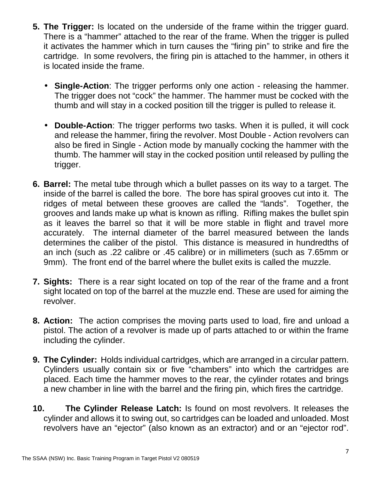- **5. The Trigger:** Is located on the underside of the frame within the trigger guard. There is a "hammer" attached to the rear of the frame. When the trigger is pulled it activates the hammer which in turn causes the "firing pin" to strike and fire the cartridge. In some revolvers, the firing pin is attached to the hammer, in others it is located inside the frame.
	- **Single-Action**: The trigger performs only one action releasing the hammer. The trigger does not "cock" the hammer. The hammer must be cocked with the thumb and will stay in a cocked position till the trigger is pulled to release it.
	- **Double-Action**: The trigger performs two tasks. When it is pulled, it will cock and release the hammer, firing the revolver. Most Double - Action revolvers can also be fired in Single - Action mode by manually cocking the hammer with the thumb. The hammer will stay in the cocked position until released by pulling the trigger.
- **6. Barrel:** The metal tube through which a bullet passes on its way to a target. The inside of the barrel is called the bore. The bore has spiral grooves cut into it. The ridges of metal between these grooves are called the "lands". Together, the grooves and lands make up what is known as rifling. Rifling makes the bullet spin as it leaves the barrel so that it will be more stable in flight and travel more accurately. The internal diameter of the barrel measured between the lands determines the caliber of the pistol. This distance is measured in hundredths of an inch (such as .22 calibre or .45 calibre) or in millimeters (such as 7.65mm or 9mm). The front end of the barrel where the bullet exits is called the muzzle.
- **7. Sights:** There is a rear sight located on top of the rear of the frame and a front sight located on top of the barrel at the muzzle end. These are used for aiming the revolver.
- **8. Action:** The action comprises the moving parts used to load, fire and unload a pistol. The action of a revolver is made up of parts attached to or within the frame including the cylinder.
- **9. The Cylinder:** Holds individual cartridges, which are arranged in a circular pattern. Cylinders usually contain six or five "chambers" into which the cartridges are placed. Each time the hammer moves to the rear, the cylinder rotates and brings a new chamber in line with the barrel and the firing pin, which fires the cartridge.
- **10. The Cylinder Release Latch:** Is found on most revolvers. It releases the cylinder and allows it to swing out, so cartridges can be loaded and unloaded. Most revolvers have an "ejector" (also known as an extractor) and or an "ejector rod".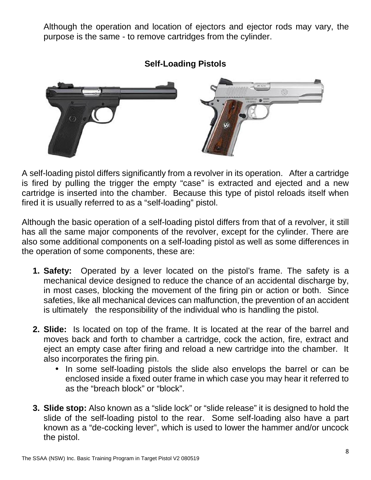Although the operation and location of ejectors and ejector rods may vary, the purpose is the same - to remove cartridges from the cylinder.



**Self-Loading Pistols**

A self-loading pistol differs significantly from a revolver in its operation. After a cartridge is fired by pulling the trigger the empty "case" is extracted and ejected and a new cartridge is inserted into the chamber. Because this type of pistol reloads itself when fired it is usually referred to as a "self-loading" pistol.

Although the basic operation of a self-loading pistol differs from that of a revolver, it still has all the same major components of the revolver, except for the cylinder. There are also some additional components on a self-loading pistol as well as some differences in the operation of some components, these are:

- **1. Safety:** Operated by a lever located on the pistol's frame. The safety is a mechanical device designed to reduce the chance of an accidental discharge by, in most cases, blocking the movement of the firing pin or action or both. Since safeties, like all mechanical devices can malfunction, the prevention of an accident is ultimately the responsibility of the individual who is handling the pistol.
- **2. Slide:** Is located on top of the frame. It is located at the rear of the barrel and moves back and forth to chamber a cartridge, cock the action, fire, extract and eject an empty case after firing and reload a new cartridge into the chamber. It also incorporates the firing pin.
	- In some self-loading pistols the slide also envelops the barrel or can be enclosed inside a fixed outer frame in which case you may hear it referred to as the "breach block" or "block".
- **3. Slide stop:** Also known as a "slide lock" or "slide release" it is designed to hold the slide of the self-loading pistol to the rear. Some self-loading also have a part known as a "de-cocking lever", which is used to lower the hammer and/or uncock the pistol.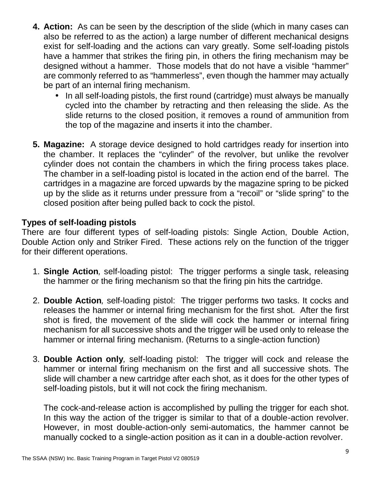- **4. Action:** As can be seen by the description of the slide (which in many cases can also be referred to as the action) a large number of different mechanical designs exist for self-loading and the actions can vary greatly. Some self-loading pistols have a hammer that strikes the firing pin, in others the firing mechanism may be designed without a hammer. Those models that do not have a visible "hammer" are commonly referred to as "hammerless", even though the hammer may actually be part of an internal firing mechanism.
	- In all self-loading pistols, the first round (cartridge) must always be manually cycled into the chamber by retracting and then releasing the slide. As the slide returns to the closed position, it removes a round of ammunition from the top of the magazine and inserts it into the chamber.
- **5. Magazine:** A storage device designed to hold cartridges ready for insertion into the chamber. It replaces the "cylinder" of the revolver, but unlike the revolver cylinder does not contain the chambers in which the firing process takes place. The chamber in a self-loading pistol is located in the action end of the barrel. The cartridges in a magazine are forced upwards by the magazine spring to be picked up by the slide as it returns under pressure from a "recoil" or "slide spring" to the closed position after being pulled back to cock the pistol.

### **Types of self-loading pistols**

There are four different types of self-loading pistols: Single Action, Double Action, Double Action only and Striker Fired. These actions rely on the function of the trigger for their different operations.

- 1. **Single Action***,* self-loading pistol: The trigger performs a single task, releasing the hammer or the firing mechanism so that the firing pin hits the cartridge.
- 2. **Double Action***,* self-loading pistol: The trigger performs two tasks. It cocks and releases the hammer or internal firing mechanism for the first shot. After the first shot is fired, the movement of the slide will cock the hammer or internal firing mechanism for all successive shots and the trigger will be used only to release the hammer or internal firing mechanism. (Returns to a single-action function)
- 3. **Double Action only***,* self-loading pistol: The trigger will cock and release the hammer or internal firing mechanism on the first and all successive shots. The slide will chamber a new cartridge after each shot, as it does for the other types of self-loading pistols, but it will not cock the firing mechanism.

The cock-and-release action is accomplished by pulling the trigger for each shot. In this way the action of the trigger is similar to that of a double-action revolver. However, in most double-action-only semi-automatics, the hammer cannot be manually cocked to a single-action position as it can in a double-action revolver.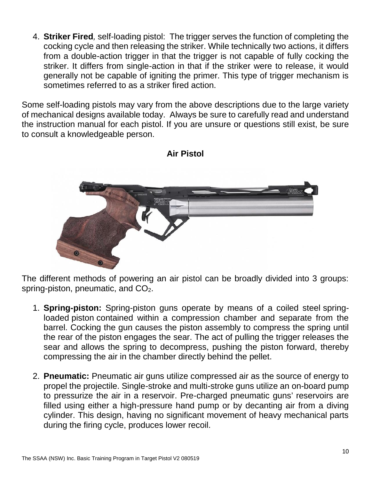4. **Striker Fired***,* self-loading pistol: The trigger serves the function of completing the cocking cycle and then releasing the striker. While technically two actions, it differs from a double-action trigger in that the trigger is not capable of fully cocking the striker. It differs from single-action in that if the striker were to release, it would generally not be capable of igniting the primer. This type of trigger mechanism is sometimes referred to as a striker fired action.

Some self-loading pistols may vary from the above descriptions due to the large variety of mechanical designs available today. Always be sure to carefully read and understand the instruction manual for each pistol. If you are unsure or questions still exist, be sure to consult a knowledgeable person.



### **Air Pistol**

The different methods of powering an air pistol can be broadly divided into 3 groups: spring-piston, pneumatic, and CO<sub>2</sub>.

- 1. **Spring-piston:** Spring-piston guns operate by means of a coiled steel springloaded piston contained within a compression chamber and separate from the barrel. Cocking the gun causes the piston assembly to compress the spring until the rear of the piston engages the sear. The act of pulling the trigger releases the sear and allows the spring to decompress, pushing the piston forward, thereby compressing the air in the chamber directly behind the pellet.
- 2. **Pneumatic:** Pneumatic air guns utilize compressed air as the source of energy to propel the projectile. Single-stroke and multi-stroke guns utilize an on-board pump to pressurize the air in a reservoir. Pre-charged pneumatic guns' reservoirs are filled using either a high-pressure hand pump or by decanting air from a diving cylinder. This design, having no significant movement of heavy mechanical parts during the firing cycle, produces lower recoil.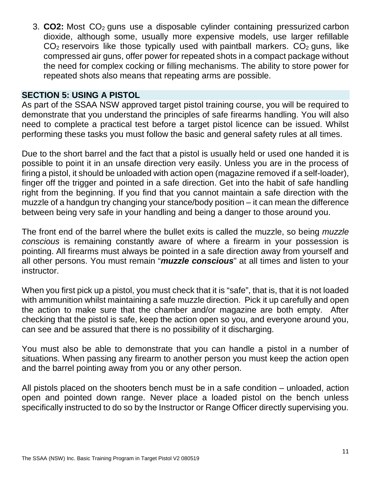3. **CO2:** Most CO<sup>2</sup> guns use a disposable cylinder containing pressurized carbon dioxide, although some, usually more expensive models, use larger refillable  $CO<sub>2</sub>$  reservoirs like those typically used with paintball markers.  $CO<sub>2</sub>$  guns, like compressed air guns, offer power for repeated shots in a compact package without the need for complex cocking or filling mechanisms. The ability to store power for repeated shots also means that repeating arms are possible.

### **SECTION 5: USING A PISTOL**

As part of the SSAA NSW approved target pistol training course, you will be required to demonstrate that you understand the principles of safe firearms handling. You will also need to complete a practical test before a target pistol licence can be issued. Whilst performing these tasks you must follow the basic and general safety rules at all times.

Due to the short barrel and the fact that a pistol is usually held or used one handed it is possible to point it in an unsafe direction very easily. Unless you are in the process of firing a pistol, it should be unloaded with action open (magazine removed if a self-loader), finger off the trigger and pointed in a safe direction. Get into the habit of safe handling right from the beginning. If you find that you cannot maintain a safe direction with the muzzle of a handgun try changing your stance/body position – it can mean the difference between being very safe in your handling and being a danger to those around you.

The front end of the barrel where the bullet exits is called the muzzle, so being *muzzle conscious* is remaining constantly aware of where a firearm in your possession is pointing. All firearms must always be pointed in a safe direction away from yourself and all other persons. You must remain "*muzzle conscious*" at all times and listen to your instructor.

When you first pick up a pistol, you must check that it is "safe", that is, that it is not loaded with ammunition whilst maintaining a safe muzzle direction. Pick it up carefully and open the action to make sure that the chamber and/or magazine are both empty. After checking that the pistol is safe, keep the action open so you, and everyone around you, can see and be assured that there is no possibility of it discharging.

You must also be able to demonstrate that you can handle a pistol in a number of situations. When passing any firearm to another person you must keep the action open and the barrel pointing away from you or any other person.

All pistols placed on the shooters bench must be in a safe condition – unloaded, action open and pointed down range. Never place a loaded pistol on the bench unless specifically instructed to do so by the Instructor or Range Officer directly supervising you.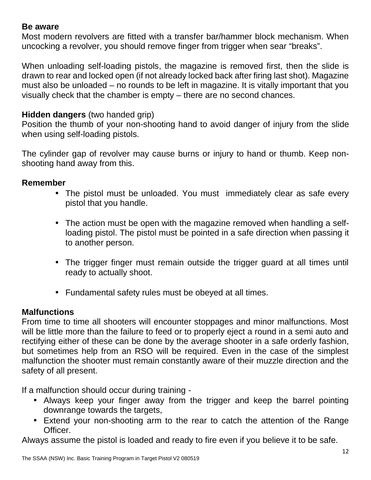### **Be aware**

Most modern revolvers are fitted with a transfer bar/hammer block mechanism. When uncocking a revolver, you should remove finger from trigger when sear "breaks".

When unloading self-loading pistols, the magazine is removed first, then the slide is drawn to rear and locked open (if not already locked back after firing last shot). Magazine must also be unloaded – no rounds to be left in magazine. It is vitally important that you visually check that the chamber is empty – there are no second chances.

# **Hidden dangers** (two handed grip)

Position the thumb of your non-shooting hand to avoid danger of injury from the slide when using self-loading pistols.

The cylinder gap of revolver may cause burns or injury to hand or thumb. Keep non shooting hand away from this.

### **Remember**

- The pistol must be unloaded. You must immediately clear as safe every pistol that you handle.
- The action must be open with the magazine removed when handling a selfloading pistol. The pistol must be pointed in a safe direction when passing it to another person.
- The trigger finger must remain outside the trigger guard at all times until ready to actually shoot.
- Fundamental safety rules must be obeyed at all times.

### **Malfunctions**

From time to time all shooters will encounter stoppages and minor malfunctions. Most will be little more than the failure to feed or to properly eject a round in a semi auto and rectifying either of these can be done by the average shooter in a safe orderly fashion, but sometimes help from an RSO will be required. Even in the case of the simplest malfunction the shooter must remain constantly aware of their muzzle direction and the safety of all present.

If a malfunction should occur during training -

- Always keep your finger away from the trigger and keep the barrel pointing downrange towards the targets,
- Extend your non-shooting arm to the rear to catch the attention of the Range Officer.

Always assume the pistol is loaded and ready to fire even if you believe it to be safe.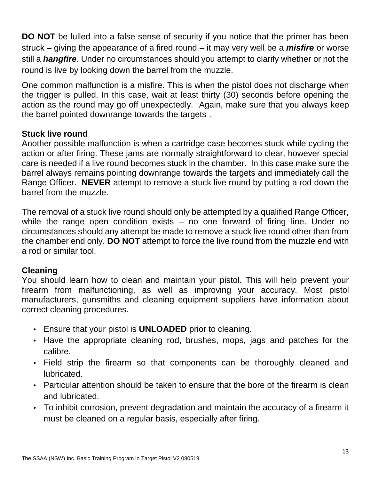**DO NOT** be lulled into a false sense of security if you notice that the primer has been struck – giving the appearance of a fired round – it may very well be a *misfire* or worse still a *hangfire*. Under no circumstances should you attempt to clarify whether or not the round is live by looking down the barrel from the muzzle.

One common malfunction is a misfire. This is when the pistol does not discharge when the trigger is pulled. In this case, wait at least thirty (30) seconds before opening the action as the round may go off unexpectedly. Again, make sure that you always keep the barrel pointed downrange towards the targets .

# **Stuck live round**

Another possible malfunction is when a cartridge case becomes stuck while cycling the action or after firing. These jams are normally straightforward to clear, however special care is needed if a live round becomes stuck in the chamber. In this case make sure the barrel always remains pointing downrange towards the targets and immediately call the Range Officer. **NEVER** attempt to remove a stuck live round by putting a rod down the barrel from the muzzle.

The removal of a stuck live round should only be attempted by a qualified Range Officer, while the range open condition exists – no one forward of firing line. Under no circumstances should any attempt be made to remove a stuck live round other than from the chamber end only. **DO NOT** attempt to force the live round from the muzzle end with a rod or similar tool.

# **Cleaning**

You should learn how to clean and maintain your pistol. This will help prevent your firearm from malfunctioning, as well as improving your accuracy. Most pistol manufacturers, gunsmiths and cleaning equipment suppliers have information about correct cleaning procedures.

- Ensure that your pistol is **UNLOADED** prior to cleaning.
- Have the appropriate cleaning rod, brushes, mops, jags and patches for the calibre.
- Field strip the firearm so that components can be thoroughly cleaned and lubricated.
- Particular attention should be taken to ensure that the bore of the firearm is clean and lubricated.
- To inhibit corrosion, prevent degradation and maintain the accuracy of a firearm it must be cleaned on a regular basis, especially after firing.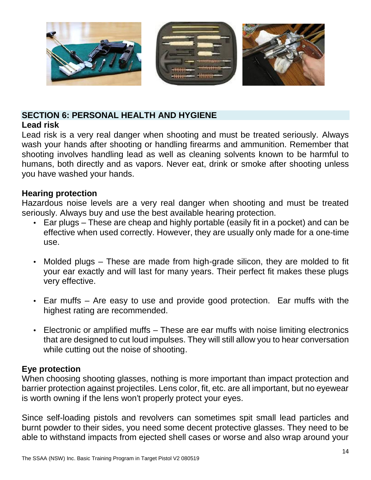

# **SECTION 6: PERSONAL HEALTH AND HYGIENE**

# **Lead risk**

Lead risk is a very real danger when shooting and must be treated seriously. Always wash your hands after shooting or handling firearms and ammunition. Remember that shooting involves handling lead as well as cleaning solvents known to be harmful to humans, both directly and as vapors. Never eat, drink or smoke after shooting unless you have washed your hands.

# **Hearing protection**

Hazardous noise levels are a very real danger when shooting and must be treated seriously. Always buy and use the best available hearing protection.

- Ear plugs These are cheap and highly portable (easily fit in a pocket) and can be effective when used correctly. However, they are usually only made for a one-time use.
- Molded plugs These are made from high-grade silicon, they are molded to fit your ear exactly and will last for many years. Their perfect fit makes these plugs very effective.
- Ear muffs Are easy to use and provide good protection. Ear muffs with the highest rating are recommended.
- Electronic or amplified muffs These are ear muffs with noise limiting electronics that are designed to cut loud impulses. They will still allow you to hear conversation while cutting out the noise of shooting.

# **Eye protection**

When choosing shooting glasses, nothing is more important than impact protection and barrier protection against projectiles. Lens color, fit, etc. are all important, but no eyewear is worth owning if the lens won't properly protect your eyes.

Since self-loading pistols and revolvers can sometimes spit small lead particles and burnt powder to their sides, you need some decent protective glasses. They need to be able to withstand impacts from ejected shell cases or worse and also wrap around your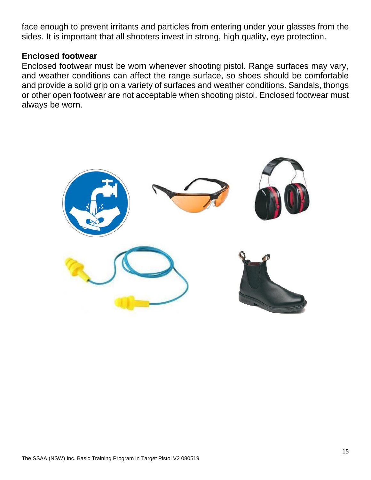face enough to prevent irritants and particles from entering under your glasses from the sides. It is important that all shooters invest in strong, high quality, eye protection.

### **Enclosed footwear**

Enclosed footwear must be worn whenever shooting pistol. Range surfaces may vary, and weather conditions can affect the range surface, so shoes should be comfortable and provide a solid grip on a variety of surfaces and weather conditions. Sandals, thongs or other open footwear are not acceptable when shooting pistol. Enclosed footwear must always be worn.

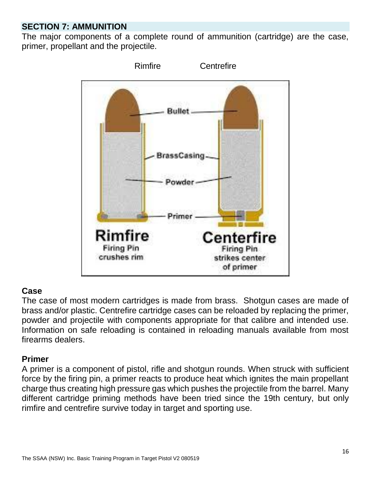# **SECTION 7: AMMUNITION**

The major components of a complete round of ammunition (cartridge) are the case, primer, propellant and the projectile.



### **Case**

The case of most modern cartridges is made from brass. Shotgun cases are made of brass and/or plastic. Centrefire cartridge cases can be reloaded by replacing the primer, powder and projectile with components appropriate for that calibre and intended use. Information on safe reloading is contained in reloading manuals available from most firearms dealers.

# **Primer**

A primer is a component of pistol, rifle and shotgun rounds. When struck with sufficient force by the firing pin, a primer reacts to produce heat which ignites the main propellant charge thus creating high pressure gas which pushes the projectile from the barrel. Many different cartridge priming methods have been tried since the 19th century, but only rimfire and centrefire survive today in target and sporting use.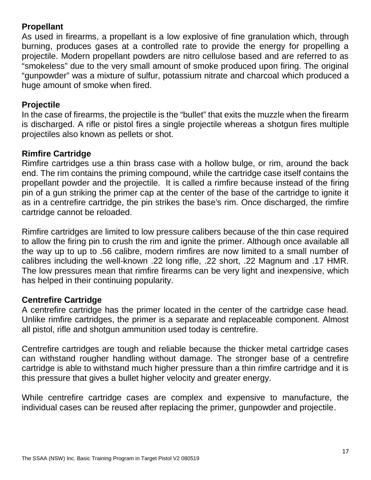# **Propellant**

As used in firearms, a propellant is a low explosive of fine granulation which, through burning, produces gases at a controlled rate to provide the energy for propelling a projectile. Modern propellant powders are nitro cellulose based and are referred to as "smokeless" due to the very small amount of smoke produced upon firing. The original "gunpowder" was a mixture of sulfur, potassium nitrate and charcoal which produced a huge amount of smoke when fired.

### **Projectile**

In the case of firearms, the projectile is the "bullet" that exits the muzzle when the firearm is discharged. A rifle or pistol fires a single projectile whereas a shotgun fires multiple projectiles also known as pellets or shot.

# **Rimfire Cartridge**

Rimfire cartridges use a thin brass case with a hollow bulge, or rim, around the back end. The rim contains the priming compound, while the cartridge case itself contains the propellant powder and the projectile. It is called a rimfire because instead of the firing pin of a gun striking the primer cap at the center of the base of the cartridge to ignite it as in a centrefire cartridge, the pin strikes the base's rim. Once discharged, the rimfire cartridge cannot be reloaded.

Rimfire cartridges are limited to low pressure calibers because of the thin case required to allow the firing pin to crush the rim and ignite the primer. Although once available all the way up to up to .56 calibre, modern rimfires are now limited to a small number of calibres including the well-known .22 long rifle, .22 short, .22 Magnum and .17 HMR. The low pressures mean that rimfire firearms can be very light and inexpensive, which has helped in their continuing popularity.

# **Centrefire Cartridge**

A centrefire cartridge has the primer located in the center of the cartridge case head. Unlike rimfire cartridges, the primer is a separate and replaceable component. Almost all pistol, rifle and shotgun ammunition used today is centrefire.

Centrefire cartridges are tough and reliable because the thicker metal cartridge cases can withstand rougher handling without damage. The stronger base of a centrefire cartridge is able to withstand much higher pressure than a thin rimfire cartridge and it is this pressure that gives a bullet higher velocity and greater energy.

While centrefire cartridge cases are complex and expensive to manufacture, the individual cases can be reused after replacing the primer, gunpowder and projectile.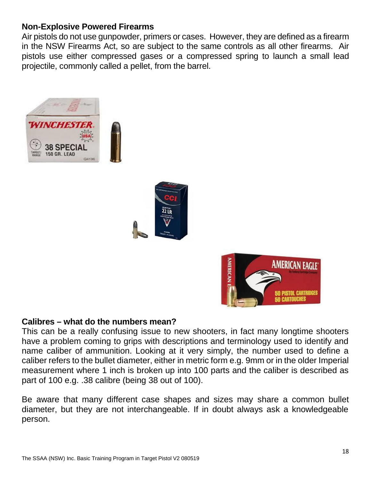### **Non-Explosive Powered Firearms**

Air pistols do not use gunpowder, primers or cases. However, they are defined as a firearm in the NSW Firearms Act, so are subject to the same controls as all other firearms. Air pistols use either compressed gases or a compressed spring to launch a small lead projectile, commonly called a pellet, from the barrel.







### **Calibres – what do the numbers mean?**

This can be a really confusing issue to new shooters, in fact many longtime shooters have a problem coming to grips with descriptions and terminology used to identify and name caliber of ammunition. Looking at it very simply, the number used to define a caliber refers to the bullet diameter, either in metric form e.g. 9mm or in the older Imperial measurement where 1 inch is broken up into 100 parts and the caliber is described as part of 100 e.g. .38 calibre (being 38 out of 100).

Be aware that many different case shapes and sizes may share a common bullet diameter, but they are not interchangeable. If in doubt always ask a knowledgeable person.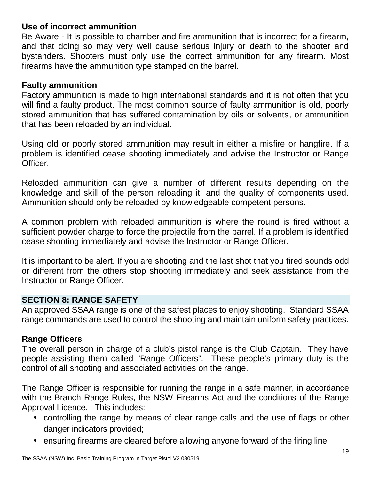### **Use of incorrect ammunition**

Be Aware - It is possible to chamber and fire ammunition that is incorrect for a firearm, and that doing so may very well cause serious injury or death to the shooter and bystanders. Shooters must only use the correct ammunition for any firearm. Most firearms have the ammunition type stamped on the barrel.

### **Faulty ammunition**

Factory ammunition is made to high international standards and it is not often that you will find a faulty product. The most common source of faulty ammunition is old, poorly stored ammunition that has suffered contamination by oils or solvents, or ammunition that has been reloaded by an individual.

Using old or poorly stored ammunition may result in either a misfire or hangfire. If a problem is identified cease shooting immediately and advise the Instructor or Range Officer.

Reloaded ammunition can give a number of different results depending on the knowledge and skill of the person reloading it, and the quality of components used. Ammunition should only be reloaded by knowledgeable competent persons.

A common problem with reloaded ammunition is where the round is fired without a sufficient powder charge to force the projectile from the barrel. If a problem is identified cease shooting immediately and advise the Instructor or Range Officer.

It is important to be alert. If you are shooting and the last shot that you fired sounds odd or different from the others stop shooting immediately and seek assistance from the Instructor or Range Officer.

### **SECTION 8: RANGE SAFETY**

An approved SSAA range is one of the safest places to enjoy shooting. Standard SSAA range commands are used to control the shooting and maintain uniform safety practices.

### **Range Officers**

The overall person in charge of a club's pistol range is the Club Captain. They have people assisting them called "Range Officers". These people's primary duty is the control of all shooting and associated activities on the range.

The Range Officer is responsible for running the range in a safe manner, in accordance with the Branch Range Rules, the NSW Firearms Act and the conditions of the Range Approval Licence. This includes:

- controlling the range by means of clear range calls and the use of flags or other danger indicators provided;
- ensuring firearms are cleared before allowing anyone forward of the firing line;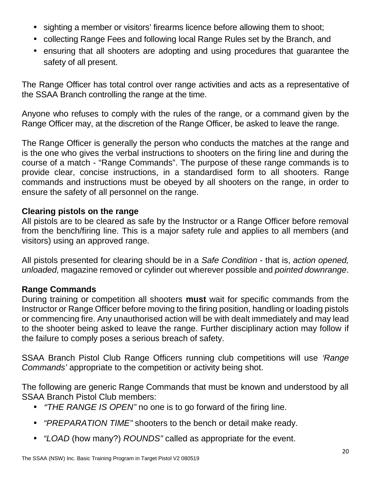- sighting a member or visitors' firearms licence before allowing them to shoot;
- collecting Range Fees and following local Range Rules set by the Branch, and
- ensuring that all shooters are adopting and using procedures that guarantee the safety of all present.

The Range Officer has total control over range activities and acts as a representative of the SSAA Branch controlling the range at the time.

Anyone who refuses to comply with the rules of the range, or a command given by the Range Officer may, at the discretion of the Range Officer, be asked to leave the range.

The Range Officer is generally the person who conducts the matches at the range and is the one who gives the verbal instructions to shooters on the firing line and during the course of a match - "Range Commands". The purpose of these range commands is to provide clear, concise instructions, in a standardised form to all shooters. Range commands and instructions must be obeyed by all shooters on the range, in order to ensure the safety of all personnel on the range.

# **Clearing pistols on the range**

All pistols are to be cleared as safe by the Instructor or a Range Officer before removal from the bench/firing line. This is a major safety rule and applies to all members (and visitors) using an approved range.

All pistols presented for clearing should be in a *Safe Condition* - that is, *action opened, unloaded,* magazine removed or cylinder out wherever possible and *pointed downrange*.

# **Range Commands**

During training or competition all shooters **must** wait for specific commands from the Instructor or Range Officer before moving to the firing position, handling or loading pistols or commencing fire. Any unauthorised action will be with dealt immediately and may lead to the shooter being asked to leave the range. Further disciplinary action may follow if the failure to comply poses a serious breach of safety.

SSAA Branch Pistol Club Range Officers running club competitions will use *'Range Commands'* appropriate to the competition or activity being shot.

The following are generic Range Commands that must be known and understood by all SSAA Branch Pistol Club members:

- *"THE RANGE IS OPEN"* no one is to go forward of the firing line.
- *"PREPARATION TIME"* shooters to the bench or detail make ready.
- *"LOAD* (how many?) *ROUNDS"* called as appropriate for the event.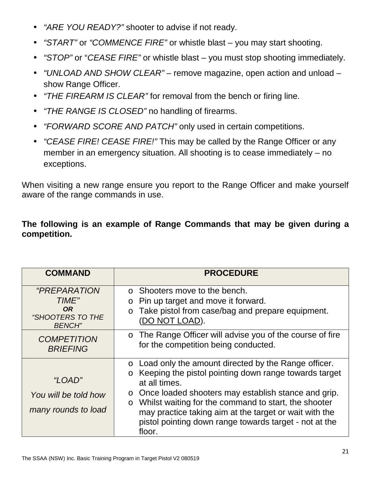- *"ARE YOU READY?"* shooter to advise if not ready.
- *"START"* or *"COMMENCE FIRE"* or whistle blast you may start shooting.
- *"STOP"* or "*CEASE FIRE"* or whistle blast you must stop shooting immediately.
- *"UNLOAD AND SHOW CLEAR"* remove magazine, open action and unload show Range Officer.
- *"THE FIREARM IS CLEAR"* for removal from the bench or firing line.
- *"THE RANGE IS CLOSED"* no handling of firearms.
- *"FORWARD SCORE AND PATCH"* only used in certain competitions.
- *"CEASE FIRE! CEASE FIRE!"* This may be called by the Range Officer or any member in an emergency situation. All shooting is to cease immediately – no exceptions.

When visiting a new range ensure you report to the Range Officer and make yourself aware of the range commands in use.

# **The following is an example of Range Commands that may be given during a competition.**

| <b>COMMAND</b>                                                                               | <b>PROCEDURE</b>                                                                                                                                                                                                                                                                                                                                                                                     |
|----------------------------------------------------------------------------------------------|------------------------------------------------------------------------------------------------------------------------------------------------------------------------------------------------------------------------------------------------------------------------------------------------------------------------------------------------------------------------------------------------------|
| <i>"PREPARATION</i><br>TIME"<br><b>OR</b><br><i><b>"SHOOTERS TO THE</b></i><br><b>BENCH"</b> | ○ Shooters move to the bench.<br>o Pin up target and move it forward.<br>o Take pistol from case/bag and prepare equipment.<br>(DO NOT LOAD).                                                                                                                                                                                                                                                        |
| <b>COMPETITION</b><br><b>BRIEFING</b>                                                        | o The Range Officer will advise you of the course of fire<br>for the competition being conducted.                                                                                                                                                                                                                                                                                                    |
| "LOAD"<br>You will be told how<br>many rounds to load                                        | o Load only the amount directed by the Range officer.<br>o Keeping the pistol pointing down range towards target<br>at all times.<br>Once loaded shooters may establish stance and grip.<br>$\circ$<br>Whilst waiting for the command to start, the shooter<br>$\circ$<br>may practice taking aim at the target or wait with the<br>pistol pointing down range towards target - not at the<br>floor. |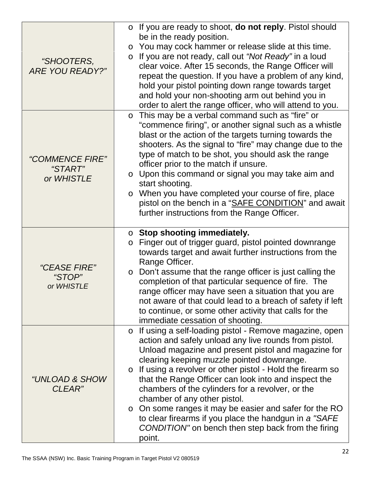| "SHOOTERS,<br><b>ARE YOU READY?"</b>        | o If you are ready to shoot, <b>do not reply</b> . Pistol should<br>be in the ready position.<br>o You may cock hammer or release slide at this time.<br>If you are not ready, call out "Not Ready" in a loud<br>$\circ$<br>clear voice. After 15 seconds, the Range Officer will<br>repeat the question. If you have a problem of any kind,<br>hold your pistol pointing down range towards target<br>and hold your non-shooting arm out behind you in<br>order to alert the range officer, who will attend to you.                                                                                                                             |
|---------------------------------------------|--------------------------------------------------------------------------------------------------------------------------------------------------------------------------------------------------------------------------------------------------------------------------------------------------------------------------------------------------------------------------------------------------------------------------------------------------------------------------------------------------------------------------------------------------------------------------------------------------------------------------------------------------|
| "COMMENCE FIRE"<br>"START"<br>or WHISTLE    | This may be a verbal command such as "fire" or<br>$\circ$<br>"commence firing", or another signal such as a whistle<br>blast or the action of the targets turning towards the<br>shooters. As the signal to "fire" may change due to the<br>type of match to be shot, you should ask the range<br>officer prior to the match if unsure.<br>o Upon this command or signal you may take aim and<br>start shooting.<br>o When you have completed your course of fire, place<br>pistol on the bench in a "SAFE CONDITION" and await<br>further instructions from the Range Officer.                                                                  |
| <i>"CEASE FIRE"</i><br>"STOP"<br>or WHISTLE | $\circ$ Stop shooting immediately.<br>Finger out of trigger guard, pistol pointed downrange<br>$\circ$<br>towards target and await further instructions from the<br>Range Officer.<br>Don't assume that the range officer is just calling the<br>$\circ$<br>completion of that particular sequence of fire. The<br>range officer may have seen a situation that you are<br>not aware of that could lead to a breach of safety if left<br>to continue, or some other activity that calls for the<br>immediate cessation of shooting.                                                                                                              |
| "UNLOAD & SHOW<br>CLEAR"                    | If using a self-loading pistol - Remove magazine, open<br>$\circ$<br>action and safely unload any live rounds from pistol.<br>Unload magazine and present pistol and magazine for<br>clearing keeping muzzle pointed downrange.<br>If using a revolver or other pistol - Hold the firearm so<br>$\circ$<br>that the Range Officer can look into and inspect the<br>chambers of the cylinders for a revolver, or the<br>chamber of any other pistol.<br>On some ranges it may be easier and safer for the RO<br>$\circ$<br>to clear firearms if you place the handgun in a "SAFE"<br>CONDITION" on bench then step back from the firing<br>point. |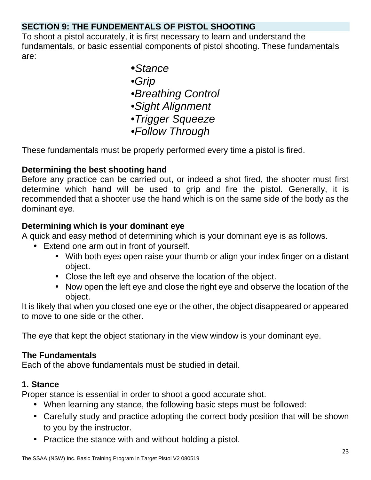# **SECTION 9: THE FUNDEMENTALS OF PISTOL SHOOTING**

To shoot a pistol accurately, it is first necessary to learn and understand the fundamentals, or basic essential components of pistol shooting. These fundamentals are:

- •*Stance*
- *•Grip*
- *•Breathing Control*
- *•Sight Alignment*
- *•Trigger Squeeze*
- *•Follow Through*

These fundamentals must be properly performed every time a pistol is fired.

# **Determining the best shooting hand**

Before any practice can be carried out, or indeed a shot fired, the shooter must first determine which hand will be used to grip and fire the pistol. Generally, it is recommended that a shooter use the hand which is on the same side of the body as the dominant eye.

# **Determining which is your dominant eye**

A quick and easy method of determining which is your dominant eye is as follows.

- Extend one arm out in front of yourself.
	- With both eyes open raise your thumb or align your index finger on a distant object.
	- Close the left eye and observe the location of the object.
	- Now open the left eye and close the right eye and observe the location of the object.

It is likely that when you closed one eye or the other, the object disappeared or appeared to move to one side or the other.

The eye that kept the object stationary in the view window is your dominant eye.

# **The Fundamentals**

Each of the above fundamentals must be studied in detail.

# **1. Stance**

Proper stance is essential in order to shoot a good accurate shot.

- When learning any stance, the following basic steps must be followed:
- Carefully study and practice adopting the correct body position that will be shown to you by the instructor.
- Practice the stance with and without holding a pistol.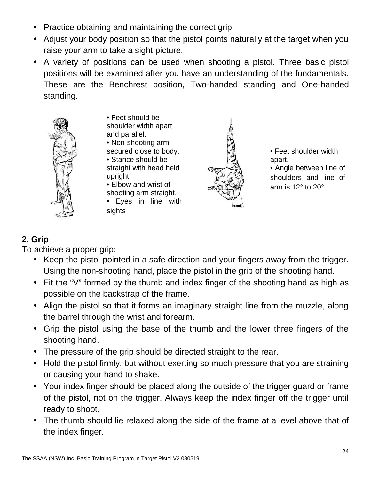- Practice obtaining and maintaining the correct grip.
- Adjust your body position so that the pistol points naturally at the target when you raise your arm to take a sight picture.
- A variety of positions can be used when shooting a pistol. Three basic pistol positions will be examined after you have an understanding of the fundamentals. These are the Benchrest position, Two-handed standing and One-handed standing.



• Feet should be shoulder width apart and parallel. • Non-shooting arm secured close to body. • Stance should be straight with head held upright.

• Elbow and wrist of shooting arm straight. • Eyes in line with

**sights** 



• Feet shoulder width apart.

• Angle between line of shoulders and line of arm is 12° to 20°

# **2. Grip**

To achieve a proper grip:

- Keep the pistol pointed in a safe direction and your fingers away from the trigger. Using the non-shooting hand, place the pistol in the grip of the shooting hand.
- Fit the "V" formed by the thumb and index finger of the shooting hand as high as possible on the backstrap of the frame.
- Align the pistol so that it forms an imaginary straight line from the muzzle, along the barrel through the wrist and forearm.
- Grip the pistol using the base of the thumb and the lower three fingers of the shooting hand.
- The pressure of the grip should be directed straight to the rear.
- Hold the pistol firmly, but without exerting so much pressure that you are straining or causing your hand to shake.
- Your index finger should be placed along the outside of the trigger guard or frame of the pistol, not on the trigger. Always keep the index finger off the trigger until ready to shoot.
- The thumb should lie relaxed along the side of the frame at a level above that of the index finger.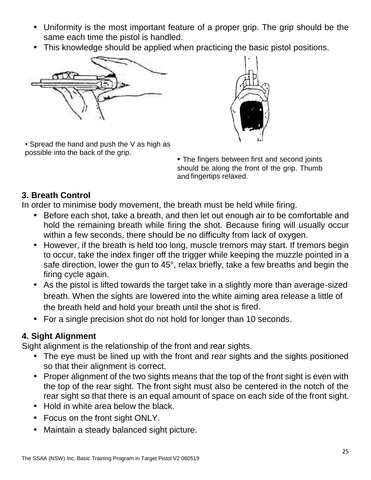- Uniformity is the most important feature of a proper grip. The grip should be the same each time the pistol is handled.
- This knowledge should be applied when practicing the basic pistol positions.



• Spread the hand and push the V as high as



possible into the back of the grip. • The fingers between first and second joints should be along the front of the grip. Thumb and fingertips relaxed.

# **3. Breath Control**

In order to minimise body movement, the breath must be held while firing.

- Before each shot, take a breath, and then let out enough air to be comfortable and hold the remaining breath while firing the shot. Because firing will usually occur within a few seconds, there should be no difficulty from lack of oxygen.
- However, if the breath is held too long, muscle tremors may start. If tremors begin to occur, take the index finger off the trigger while keeping the muzzle pointed in a safe direction, lower the gun to 45°, relax briefly, take a few breaths and begin the firing cycle again.
- As the pistol is lifted towards the target take in a slightly more than average-sized breath. When the sights are lowered into the white aiming area release a little of the breath held and hold your breath until the shot is fired.
- For a single precision shot do not hold for longer than 10 seconds.

# **4. Sight Alignment**

Sight alignment is the relationship of the front and rear sights.

- The eye must be lined up with the front and rear sights and the sights positioned so that their alignment is correct.
- Proper alignment of the two sights means that the top of the front sight is even with the top of the rear sight. The front sight must also be centered in the notch of the rear sight so that there is an equal amount of space on each side of the front sight.
- Hold in white area below the black.
- Focus on the front sight ONLY.
- Maintain a steady balanced sight picture.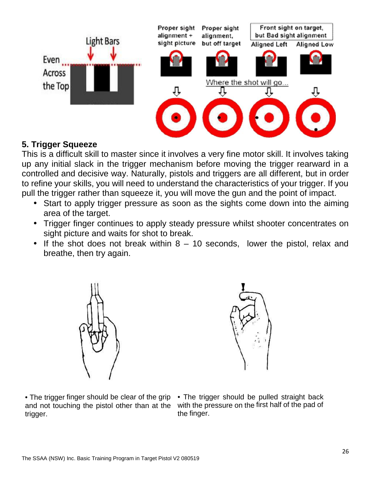

# **5. Trigger Squeeze**

This is a difficult skill to master since it involves a very fine motor skill. It involves taking up any initial slack in the trigger mechanism before moving the trigger rearward in a controlled and decisive way. Naturally, pistols and triggers are all different, but in order to refine your skills, you will need to understand the characteristics of your trigger. If you pull the trigger rather than squeeze it, you will move the gun and the point of impact.

- Start to apply trigger pressure as soon as the sights come down into the aiming area of the target.
- Trigger finger continues to apply steady pressure whilst shooter concentrates on sight picture and waits for shot to break.
- If the shot does not break within  $8 10$  seconds, lower the pistol, relax and breathe, then try again.





• The trigger finger should be clear of the grip and not touching the pistol other than at the trigger.

• The trigger should be pulled straight back with the pressure on the first half of the pad of the finger.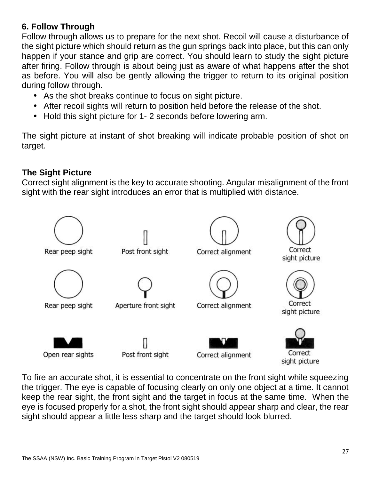# **6. Follow Through**

Follow through allows us to prepare for the next shot. Recoil will cause a disturbance of the sight picture which should return as the gun springs back into place, but this can only happen if your stance and grip are correct. You should learn to study the sight picture after firing. Follow through is about being just as aware of what happens after the shot as before. You will also be gently allowing the trigger to return to its original position during follow through.

- As the shot breaks continue to focus on sight picture.
- After recoil sights will return to position held before the release of the shot.
- Hold this sight picture for 1-2 seconds before lowering arm.

The sight picture at instant of shot breaking will indicate probable position of shot on target.

# **The Sight Picture**

Correct sight alignment is the key to accurate shooting. Angular misalignment of the front sight with the rear sight introduces an error that is multiplied with distance.



To fire an accurate shot, it is essential to concentrate on the front sight while squeezing the trigger. The eye is capable of focusing clearly on only one object at a time. It cannot keep the rear sight, the front sight and the target in focus at the same time. When the eye is focused properly for a shot, the front sight should appear sharp and clear, the rear sight should appear a little less sharp and the target should look blurred.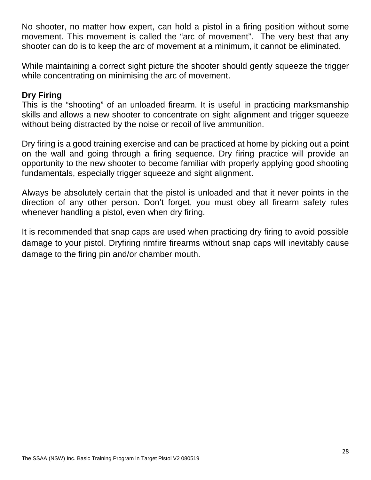No shooter, no matter how expert, can hold a pistol in a firing position without some movement. This movement is called the "arc of movement". The very best that any shooter can do is to keep the arc of movement at a minimum, it cannot be eliminated.

While maintaining a correct sight picture the shooter should gently squeeze the trigger while concentrating on minimising the arc of movement.

### **Dry Firing**

This is the "shooting" of an unloaded firearm. It is useful in practicing marksmanship skills and allows a new shooter to concentrate on sight alignment and trigger squeeze without being distracted by the noise or recoil of live ammunition.

Dry firing is a good training exercise and can be practiced at home by picking out a point on the wall and going through a firing sequence. Dry firing practice will provide an opportunity to the new shooter to become familiar with properly applying good shooting fundamentals, especially trigger squeeze and sight alignment.

Always be absolutely certain that the pistol is unloaded and that it never points in the direction of any other person. Don't forget, you must obey all firearm safety rules whenever handling a pistol, even when dry firing.

It is recommended that snap caps are used when practicing dry firing to avoid possible damage to your pistol. Dryfiring rimfire firearms without snap caps will inevitably cause damage to the firing pin and/or chamber mouth.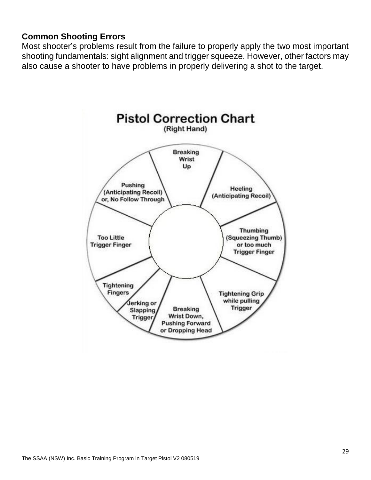### **Common Shooting Errors**

Most shooter's problems result from the failure to properly apply the two most important shooting fundamentals: sight alignment and trigger squeeze. However, other factors may also cause a shooter to have problems in properly delivering a shot to the target.

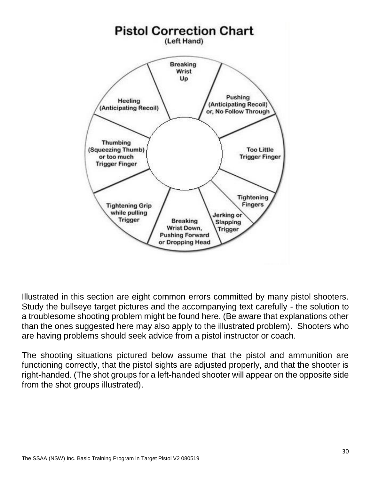

Illustrated in this section are eight common errors committed by many pistol shooters. Study the bullseye target pictures and the accompanying text carefully - the solution to a troublesome shooting problem might be found here. (Be aware that explanations other than the ones suggested here may also apply to the illustrated problem). Shooters who are having problems should seek advice from a pistol instructor or coach.

The shooting situations pictured below assume that the pistol and ammunition are functioning correctly, that the pistol sights are adjusted properly, and that the shooter is right-handed. (The shot groups for a left-handed shooter will appear on the opposite side from the shot groups illustrated).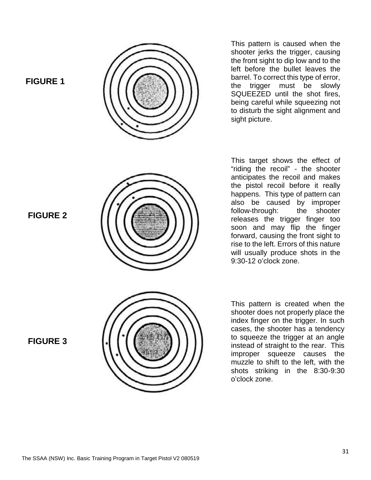**FIGURE 1**



This pattern is caused when the shooter jerks the trigger, causing the front sight to dip low and to the left before the bullet leaves the barrel. To correct this type of error, the trigger must be slowly SQUEEZED until the shot fires, being careful while squeezing not to disturb the sight alignment and sight picture.

This target shows the effect of "riding the recoil" - the shooter anticipates the recoil and makes the pistol recoil before it really happens. This type of pattern can also be caused by improper follow-through: the shooter releases the trigger finger too soon and may flip the finger forward, causing the front sight to rise to the left. Errors of this nature will usually produce shots in the 9:30-12 o'clock zone.

This pattern is created when the shooter does not properly place the index finger on the trigger. In such cases, the shooter has a tendency to squeeze the trigger at an angle instead of straight to the rear. This improper squeeze causes the muzzle to shift to the left, with the shots striking in the 8:30-9:30 o'clock zone.

**FIGURE 3**

**FIGURE 2**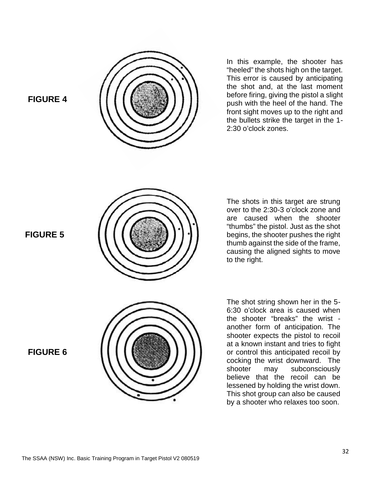

### **FIGURE 4**





The shots in this target are strung over to the 2:30-3 o'clock zone and are caused when the shooter "thumbs" the pistol. Just as the shot begins, the shooter pushes the right thumb against the side of the frame, causing the aligned sights to move to the right.

The shot string shown her in the 5- 6:30 o'clock area is caused when the shooter "breaks" the wrist another form of anticipation. The shooter expects the pistol to recoil at a known instant and tries to fight or control this anticipated recoil by cocking the wrist downward. The shooter may subconsciously believe that the recoil can be lessened by holding the wrist down. This shot group can also be caused by a shooter who relaxes too soon.

**FIGURE 6**

**FIGURE 5**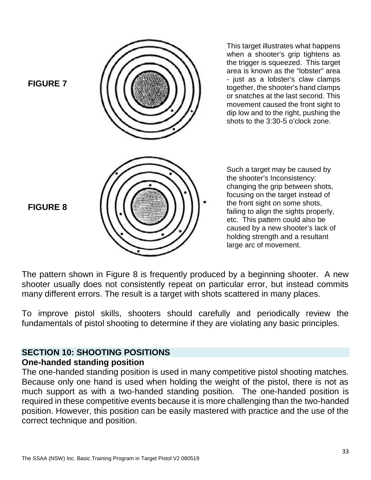

The pattern shown in Figure 8 is frequently produced by a beginning shooter. A new shooter usually does not consistently repeat on particular error, but instead commits many different errors. The result is a target with shots scattered in many places.

To improve pistol skills, shooters should carefully and periodically review the fundamentals of pistol shooting to determine if they are violating any basic principles.

#### **SECTION 10: SHOOTING POSITIONS One-handed standing position**

The one-handed standing position is used in many competitive pistol shooting matches. Because only one hand is used when holding the weight of the pistol, there is not as much support as with a two-handed standing position. The one-handed position is required in these competitive events because it is more challenging than the two-handed position. However, this position can be easily mastered with practice and the use of the correct technique and position.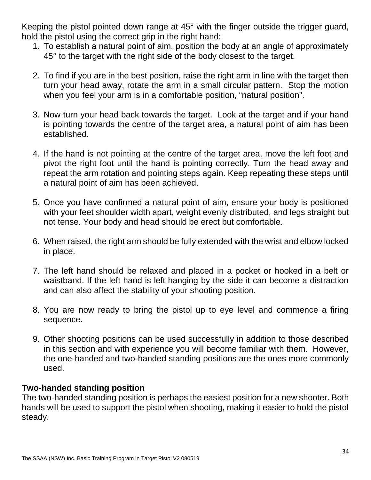Keeping the pistol pointed down range at 45° with the finger outside the trigger guard, hold the pistol using the correct grip in the right hand:

- 1. To establish a natural point of aim, position the body at an angle of approximately 45° to the target with the right side of the body closest to the target.
- 2. To find if you are in the best position, raise the right arm in line with the target then turn your head away, rotate the arm in a small circular pattern. Stop the motion when you feel your arm is in a comfortable position, "natural position".
- 3. Now turn your head back towards the target. Look at the target and if your hand is pointing towards the centre of the target area, a natural point of aim has been established.
- 4. If the hand is not pointing at the centre of the target area, move the left foot and pivot the right foot until the hand is pointing correctly. Turn the head away and repeat the arm rotation and pointing steps again. Keep repeating these steps until a natural point of aim has been achieved.
- 5. Once you have confirmed a natural point of aim, ensure your body is positioned with your feet shoulder width apart, weight evenly distributed, and legs straight but not tense. Your body and head should be erect but comfortable.
- 6. When raised, the right arm should be fully extended with the wrist and elbow locked in place.
- 7. The left hand should be relaxed and placed in a pocket or hooked in a belt or waistband. If the left hand is left hanging by the side it can become a distraction and can also affect the stability of your shooting position.
- 8. You are now ready to bring the pistol up to eye level and commence a firing sequence.
- 9. Other shooting positions can be used successfully in addition to those described in this section and with experience you will become familiar with them. However, the one-handed and two-handed standing positions are the ones more commonly used.

### **Two-handed standing position**

The two-handed standing position is perhaps the easiest position for a new shooter. Both hands will be used to support the pistol when shooting, making it easier to hold the pistol steady.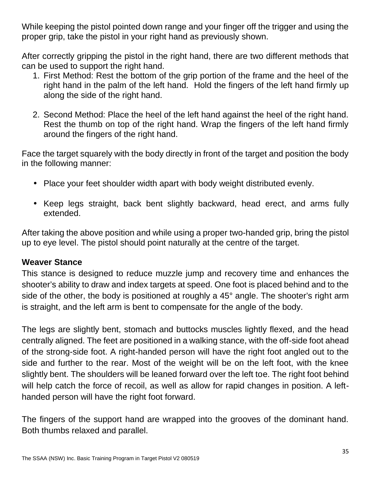While keeping the pistol pointed down range and your finger off the trigger and using the proper grip, take the pistol in your right hand as previously shown.

After correctly gripping the pistol in the right hand, there are two different methods that can be used to support the right hand.

- 1. First Method: Rest the bottom of the grip portion of the frame and the heel of the right hand in the palm of the left hand. Hold the fingers of the left hand firmly up along the side of the right hand.
- 2. Second Method: Place the heel of the left hand against the heel of the right hand. Rest the thumb on top of the right hand. Wrap the fingers of the left hand firmly around the fingers of the right hand.

Face the target squarely with the body directly in front of the target and position the body in the following manner:

- Place your feet shoulder width apart with body weight distributed evenly.
- Keep legs straight, back bent slightly backward, head erect, and arms fully extended.

After taking the above position and while using a proper two-handed grip, bring the pistol up to eye level. The pistol should point naturally at the centre of the target.

# **Weaver Stance**

This stance is designed to reduce muzzle jump and recovery time and enhances the shooter's ability to draw and index targets at speed. One foot is placed behind and to the side of the other, the body is positioned at roughly a 45° angle. The shooter's right arm is straight, and the left arm is bent to compensate for the angle of the body.

The legs are slightly bent, stomach and buttocks muscles lightly flexed, and the head centrally aligned. The feet are positioned in a walking stance, with the off-side foot ahead of the strong-side foot. A right-handed person will have the right foot angled out to the side and further to the rear. Most of the weight will be on the left foot, with the knee slightly bent. The shoulders will be leaned forward over the left toe. The right foot behind will help catch the force of recoil, as well as allow for rapid changes in position. A left handed person will have the right foot forward.

The fingers of the support hand are wrapped into the grooves of the dominant hand. Both thumbs relaxed and parallel.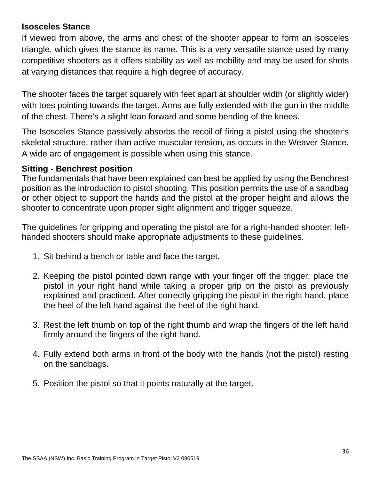### **Isosceles Stance**

If viewed from above, the arms and chest of the shooter appear to form an isosceles triangle, which gives the stance its name. This is a very versatile stance used by many competitive shooters as it offers stability as well as mobility and may be used for shots at varying distances that require a high degree of accuracy.

The shooter faces the target squarely with feet apart at shoulder width (or slightly wider) with toes pointing towards the target. Arms are fully extended with the gun in the middle of the chest. There's a slight lean forward and some bending of the knees.

The Isosceles Stance passively absorbs the recoil of firing a pistol using the shooter's skeletal structure, rather than active muscular tension, as occurs in the Weaver Stance. A wide arc of engagement is possible when using this stance.

### **Sitting - Benchrest position**

The fundamentals that have been explained can best be applied by using the Benchrest position as the introduction to pistol shooting. This position permits the use of a sandbag or other object to support the hands and the pistol at the proper height and allows the shooter to concentrate upon proper sight alignment and trigger squeeze.

The guidelines for gripping and operating the pistol are for a right-handed shooter; left handed shooters should make appropriate adjustments to these guidelines.

- 1. Sit behind a bench or table and face the target.
- 2. Keeping the pistol pointed down range with your finger off the trigger, place the pistol in your right hand while taking a proper grip on the pistol as previously explained and practiced. After correctly gripping the pistol in the right hand, place the heel of the left hand against the heel of the right hand.
- 3. Rest the left thumb on top of the right thumb and wrap the fingers of the left hand firmly around the fingers of the right hand.
- 4. Fully extend both arms in front of the body with the hands (not the pistol) resting on the sandbags.
- 5. Position the pistol so that it points naturally at the target.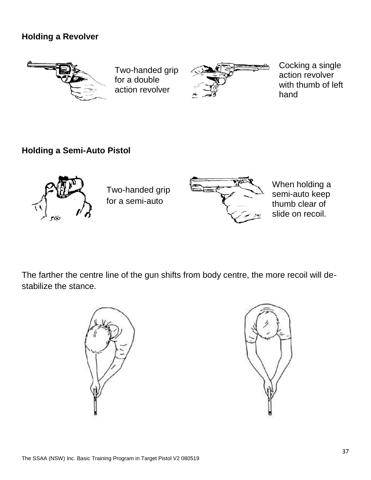# **Holding a Revolver**



Two-handed grip for a double action revolver



Cocking a single action revolver with thumb of left hand

# **Holding a Semi-Auto Pistol**



Two-handed grip for a semi-auto



When holding a semi-auto keep thumb clear of slide on recoil.

The farther the centre line of the gun shifts from body centre, the more recoil will de stabilize the stance.



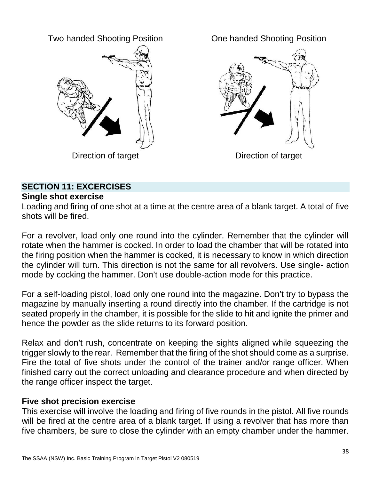Two handed Shooting Position



One handed Shooting Position



Direction of target

# **SECTION 11: EXCERCISES**

### **Single shot exercise**

Loading and firing of one shot at a time at the centre area of a blank target. A total of five shots will be fired.

For a revolver, load only one round into the cylinder. Remember that the cylinder will rotate when the hammer is cocked. In order to load the chamber that will be rotated into the firing position when the hammer is cocked, it is necessary to know in which direction the cylinder will turn. This direction is not the same for all revolvers. Use single- action mode by cocking the hammer. Don't use double-action mode for this practice.

For a self-loading pistol, load only one round into the magazine. Don't try to bypass the magazine by manually inserting a round directly into the chamber. If the cartridge is not seated properly in the chamber, it is possible for the slide to hit and ignite the primer and hence the powder as the slide returns to its forward position.

Relax and don't rush, concentrate on keeping the sights aligned while squeezing the trigger slowly to the rear. Remember that the firing of the shot should come as a surprise. Fire the total of five shots under the control of the trainer and/or range officer. When finished carry out the correct unloading and clearance procedure and when directed by the range officer inspect the target.

### **Five shot precision exercise**

This exercise will involve the loading and firing of five rounds in the pistol. All five rounds will be fired at the centre area of a blank target. If using a revolver that has more than five chambers, be sure to close the cylinder with an empty chamber under the hammer.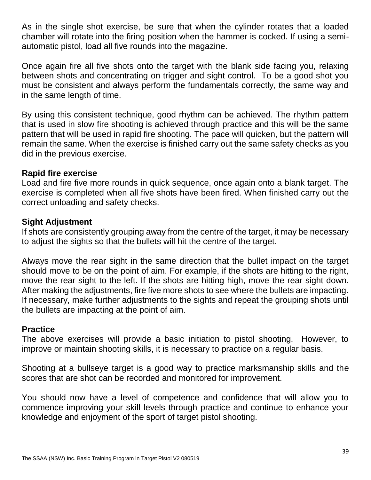As in the single shot exercise, be sure that when the cylinder rotates that a loaded chamber will rotate into the firing position when the hammer is cocked. If using a semi automatic pistol, load all five rounds into the magazine.

Once again fire all five shots onto the target with the blank side facing you, relaxing between shots and concentrating on trigger and sight control. To be a good shot you must be consistent and always perform the fundamentals correctly, the same way and in the same length of time.

By using this consistent technique, good rhythm can be achieved. The rhythm pattern that is used in slow fire shooting is achieved through practice and this will be the same pattern that will be used in rapid fire shooting. The pace will quicken, but the pattern will remain the same. When the exercise is finished carry out the same safety checks as you did in the previous exercise.

# **Rapid fire exercise**

Load and fire five more rounds in quick sequence, once again onto a blank target. The exercise is completed when all five shots have been fired. When finished carry out the correct unloading and safety checks.

# **Sight Adjustment**

If shots are consistently grouping away from the centre of the target, it may be necessary to adjust the sights so that the bullets will hit the centre of the target.

Always move the rear sight in the same direction that the bullet impact on the target should move to be on the point of aim. For example, if the shots are hitting to the right, move the rear sight to the left. If the shots are hitting high, move the rear sight down. After making the adjustments, fire five more shots to see where the bullets are impacting. If necessary, make further adjustments to the sights and repeat the grouping shots until the bullets are impacting at the point of aim.

# **Practice**

The above exercises will provide a basic initiation to pistol shooting. However, to improve or maintain shooting skills, it is necessary to practice on a regular basis.

Shooting at a bullseye target is a good way to practice marksmanship skills and the scores that are shot can be recorded and monitored for improvement.

You should now have a level of competence and confidence that will allow you to commence improving your skill levels through practice and continue to enhance your knowledge and enjoyment of the sport of target pistol shooting.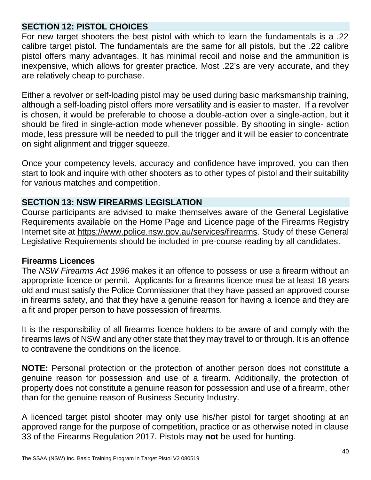### **SECTION 12: PISTOL CHOICES**

For new target shooters the best pistol with which to learn the fundamentals is a .22 calibre target pistol. The fundamentals are the same for all pistols, but the .22 calibre pistol offers many advantages. It has minimal recoil and noise and the ammunition is inexpensive, which allows for greater practice. Most .22's are very accurate, and they are relatively cheap to purchase.

Either a revolver or self-loading pistol may be used during basic marksmanship training, although a self-loading pistol offers more versatility and is easier to master. If a revolver is chosen, it would be preferable to choose a double-action over a single-action, but it should be fired in single-action mode whenever possible. By shooting in single- action mode, less pressure will be needed to pull the trigger and it will be easier to concentrate on sight alignment and trigger squeeze.

Once your competency levels, accuracy and confidence have improved, you can then start to look and inquire with other shooters as to other types of pistol and their suitability for various matches and competition.

# **SECTION 13: NSW FIREARMS LEGISLATION**

Course participants are advised to make themselves aware of the General Legislative Requirements available on the Home Page and Licence page of the Firearms Registry Internet site at https://www.police.nsw.gov.au/services/firearms. Study of these General Legislative Requirements should be included in pre-course reading by all candidates.

### **Firearms Licences**

The *NSW Firearms Act 1996* makes it an offence to possess or use a firearm without an appropriate licence or permit. Applicants for a firearms licence must be at least 18 years old and must satisfy the Police Commissioner that they have passed an approved course in firearms safety, and that they have a genuine reason for having a licence and they are a fit and proper person to have possession of firearms.

It is the responsibility of all firearms licence holders to be aware of and comply with the firearms laws of NSW and any other state that they may travel to or through. It is an offence to contravene the conditions on the licence.

**NOTE:** Personal protection or the protection of another person does not constitute a genuine reason for possession and use of a firearm. Additionally, the protection of property does not constitute a genuine reason for possession and use of a firearm, other than for the genuine reason of Business Security Industry.

A licenced target pistol shooter may only use his/her pistol for target shooting at an approved range for the purpose of competition, practice or as otherwise noted in clause 33 of the Firearms Regulation 2017. Pistols may **not** be used for hunting.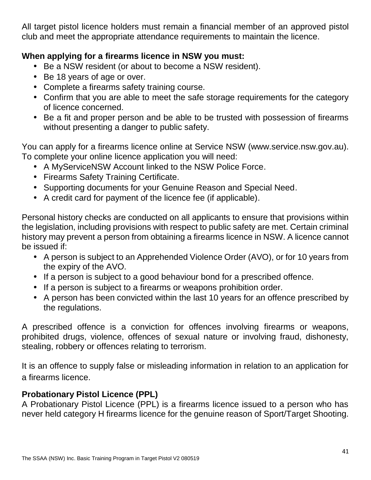All target pistol licence holders must remain a financial member of an approved pistol club and meet the appropriate attendance requirements to maintain the licence.

# **When applying for a firearms licence in NSW you must:**

- Be a NSW resident (or about to become a NSW resident).
- Be 18 years of age or over.
- Complete a firearms safety training course.
- Confirm that you are able to meet the safe storage requirements for the category of licence concerned.
- Be a fit and proper person and be able to be trusted with possession of firearms without presenting a danger to public safety.

You can apply for a firearms licence online at Service NSW (www.service.nsw.gov.au). To complete your online licence application you will need:

- A MyServiceNSW Account linked to the NSW Police Force.
- Firearms Safety Training Certificate.
- Supporting documents for your Genuine Reason and Special Need.
- A credit card for payment of the licence fee (if applicable).

Personal history checks are conducted on all applicants to ensure that provisions within the legislation, including provisions with respect to public safety are met. Certain criminal history may prevent a person from obtaining a firearms licence in NSW. A licence cannot be issued if:

- A person is subject to an Apprehended Violence Order (AVO), or for 10 years from the expiry of the AVO.
- If a person is subject to a good behaviour bond for a prescribed offence.
- If a person is subject to a firearms or weapons prohibition order.
- A person has been convicted within the last 10 years for an offence prescribed by the regulations.

A prescribed offence is a conviction for offences involving firearms or weapons, prohibited drugs, violence, offences of sexual nature or involving fraud, dishonesty, stealing, robbery or offences relating to terrorism.

It is an offence to supply false or misleading information in relation to an application for a firearms licence.

# **Probationary Pistol Licence (PPL)**

A Probationary Pistol Licence (PPL) is a firearms licence issued to a person who has never held category H firearms licence for the genuine reason of Sport/Target Shooting.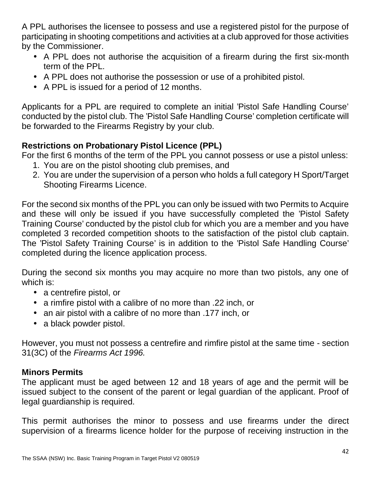A PPL authorises the licensee to possess and use a registered pistol for the purpose of participating in shooting competitions and activities at a club approved for those activities by the Commissioner.

- A PPL does not authorise the acquisition of a firearm during the first six-month term of the PPL.
- A PPL does not authorise the possession or use of a prohibited pistol.
- A PPL is issued for a period of 12 months.

Applicants for a PPL are required to complete an initial 'Pistol Safe Handling Course' conducted by the pistol club. The 'Pistol Safe Handling Course' completion certificate will be forwarded to the Firearms Registry by your club.

# **Restrictions on Probationary Pistol Licence (PPL)**

For the first 6 months of the term of the PPL you cannot possess or use a pistol unless:

- 1. You are on the pistol shooting club premises, and
- 2. You are under the supervision of a person who holds a full category H Sport/Target Shooting Firearms Licence.

For the second six months of the PPL you can only be issued with two Permits to Acquire and these will only be issued if you have successfully completed the 'Pistol Safety Training Course' conducted by the pistol club for which you are a member and you have completed 3 recorded competition shoots to the satisfaction of the pistol club captain. The 'Pistol Safety Training Course' is in addition to the 'Pistol Safe Handling Course' completed during the licence application process.

During the second six months you may acquire no more than two pistols, any one of which is:

- a centrefire pistol, or
- a rimfire pistol with a calibre of no more than .22 inch, or
- an air pistol with a calibre of no more than .177 inch, or
- a black powder pistol.

However, you must not possess a centrefire and rimfire pistol at the same time - section 31(3C) of the *Firearms Act 1996.*

# **Minors Permits**

The applicant must be aged between 12 and 18 years of age and the permit will be issued subject to the consent of the parent or legal guardian of the applicant. Proof of legal guardianship is required.

This permit authorises the minor to possess and use firearms under the direct supervision of a firearms licence holder for the purpose of receiving instruction in the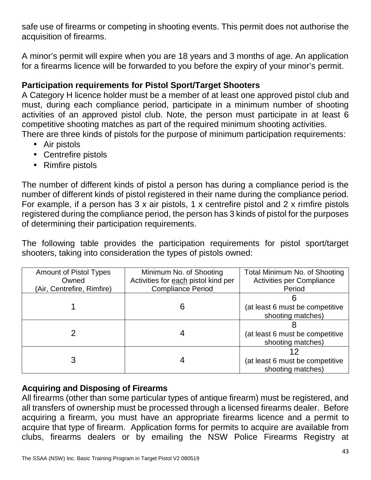safe use of firearms or competing in shooting events. This permit does not authorise the acquisition of firearms.

A minor's permit will expire when you are 18 years and 3 months of age. An application for a firearms licence will be forwarded to you before the expiry of your minor's permit.

# **Participation requirements for Pistol Sport/Target Shooters**

A Category H licence holder must be a member of at least one approved pistol club and must, during each compliance period, participate in a minimum number of shooting activities of an approved pistol club. Note, the person must participate in at least 6 competitive shooting matches as part of the required minimum shooting activities. There are three kinds of pistols for the purpose of minimum participation requirements:

- Air pistols
- Centrefire pistols
- Rimfire pistols

The number of different kinds of pistol a person has during a compliance period is the number of different kinds of pistol registered in their name during the compliance period. For example, if a person has 3 x air pistols, 1 x centrefire pistol and 2 x rimfire pistols registered during the compliance period, the person has 3 kinds of pistol for the purposes of determining their participation requirements.

The following table provides the participation requirements for pistol sport/target shooters, taking into consideration the types of pistols owned:

| <b>Amount of Pistol Types</b><br>Owned<br>(Air, Centrefire, Rimfire) | Minimum No. of Shooting<br>Activities for each pistol kind per<br><b>Compliance Period</b> | Total Minimum No. of Shooting<br><b>Activities per Compliance</b><br>Period |
|----------------------------------------------------------------------|--------------------------------------------------------------------------------------------|-----------------------------------------------------------------------------|
|                                                                      | 6                                                                                          | (at least 6 must be competitive<br>shooting matches)                        |
|                                                                      | 4                                                                                          | (at least 6 must be competitive<br>shooting matches)                        |
| З                                                                    |                                                                                            | (at least 6 must be competitive<br>shooting matches)                        |

# **Acquiring and Disposing of Firearms**

All firearms (other than some particular types of antique firearm) must be registered, and all transfers of ownership must be processed through a licensed firearms dealer. Before acquiring a firearm, you must have an appropriate firearms licence and a permit to acquire that type of firearm. Application forms for permits to acquire are available from clubs, firearms dealers or by emailing the NSW Police Firearms Registry at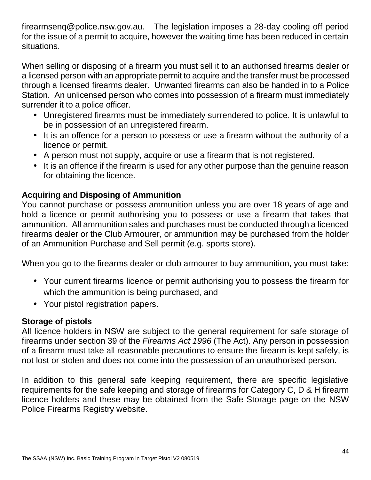firearmsenq@police.nsw.gov.au. The legislation imposes a 28-day cooling off period for the issue of a permit to acquire, however the waiting time has been reduced in certain situations.

When selling or disposing of a firearm you must sell it to an authorised firearms dealer or a licensed person with an appropriate permit to acquire and the transfer must be processed through a licensed firearms dealer. Unwanted firearms can also be handed in to a Police Station. An unlicensed person who comes into possession of a firearm must immediately surrender it to a police officer.

- Unregistered firearms must be immediately surrendered to police. It is unlawful to be in possession of an unregistered firearm.
- It is an offence for a person to possess or use a firearm without the authority of a licence or permit.
- A person must not supply, acquire or use a firearm that is not registered.
- It is an offence if the firearm is used for any other purpose than the genuine reason for obtaining the licence.

# **Acquiring and Disposing of Ammunition**

You cannot purchase or possess ammunition unless you are over 18 years of age and hold a licence or permit authorising you to possess or use a firearm that takes that ammunition. All ammunition sales and purchases must be conducted through a licenced firearms dealer or the Club Armourer, or ammunition may be purchased from the holder of an Ammunition Purchase and Sell permit (e.g. sports store).

When you go to the firearms dealer or club armourer to buy ammunition, you must take:

- Your current firearms licence or permit authorising you to possess the firearm for which the ammunition is being purchased, and
- Your pistol registration papers.

# **Storage of pistols**

All licence holders in NSW are subject to the general requirement for safe storage of firearms under section 39 of the *Firearms Act 1996* (The Act). Any person in possession of a firearm must take all reasonable precautions to ensure the firearm is kept safely, is not lost or stolen and does not come into the possession of an unauthorised person.

In addition to this general safe keeping requirement, there are specific legislative requirements for the safe keeping and storage of firearms for Category C, D & H firearm licence holders and these may be obtained from the Safe Storage page on the NSW Police Firearms Registry website.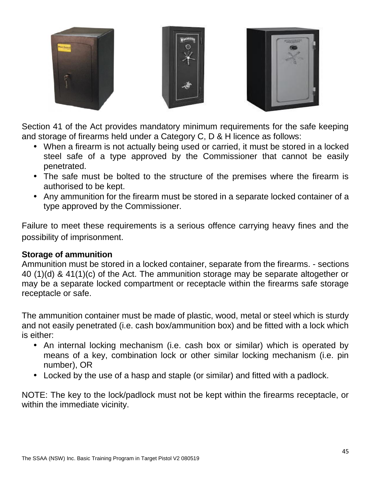





Section 41 of the Act provides mandatory minimum requirements for the safe keeping and storage of firearms held under a Category C, D & H licence as follows:

- When a firearm is not actually being used or carried, it must be stored in a locked steel safe of a type approved by the Commissioner that cannot be easily penetrated.
- The safe must be bolted to the structure of the premises where the firearm is authorised to be kept.
- Any ammunition for the firearm must be stored in a separate locked container of a type approved by the Commissioner.

Failure to meet these requirements is a serious offence carrying heavy fines and the possibility of imprisonment.

# **Storage of ammunition**

Ammunition must be stored in a locked container, separate from the firearms. - sections 40 (1)(d) & 41(1)(c) of the Act. The ammunition storage may be separate altogether or may be a separate locked compartment or receptacle within the firearms safe storage receptacle or safe.

The ammunition container must be made of plastic, wood, metal or steel which is sturdy and not easily penetrated (i.e. cash box/ammunition box) and be fitted with a lock which is either:

- An internal locking mechanism (i.e. cash box or similar) which is operated by means of a key, combination lock or other similar locking mechanism (i.e. pin number), OR
- Locked by the use of a hasp and staple (or similar) and fitted with a padlock.

NOTE: The key to the lock/padlock must not be kept within the firearms receptacle, or within the immediate vicinity.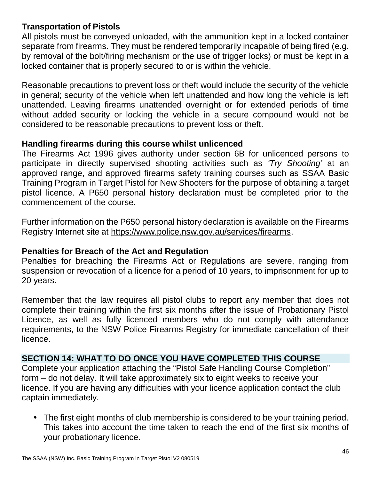### **Transportation of Pistols**

All pistols must be conveyed unloaded, with the ammunition kept in a locked container separate from firearms. They must be rendered temporarily incapable of being fired (e.g. by removal of the bolt/firing mechanism or the use of trigger locks) or must be kept in a locked container that is properly secured to or is within the vehicle.

Reasonable precautions to prevent loss or theft would include the security of the vehicle in general; security of the vehicle when left unattended and how long the vehicle is left unattended. Leaving firearms unattended overnight or for extended periods of time without added security or locking the vehicle in a secure compound would not be considered to be reasonable precautions to prevent loss or theft.

### **Handling firearms during this course whilst unlicenced**

The Firearms Act 1996 gives authority under section 6B for unlicenced persons to participate in directly supervised shooting activities such as *'Try Shooting'* at an approved range, and approved firearms safety training courses such as SSAA Basic Training Program in Target Pistol for New Shooters for the purpose of obtaining a target pistol licence. A P650 personal history declaration must be completed prior to the commencement of the course.

Further information on the P650 personal history declaration is available on the Firearms Registry Internet site at https://www.police.nsw.gov.au/services/firearms.

### **Penalties for Breach of the Act and Regulation**

Penalties for breaching the Firearms Act or Regulations are severe, ranging from suspension or revocation of a licence for a period of 10 years, to imprisonment for up to 20 years.

Remember that the law requires all pistol clubs to report any member that does not complete their training within the first six months after the issue of Probationary Pistol Licence, as well as fully licenced members who do not comply with attendance requirements, to the NSW Police Firearms Registry for immediate cancellation of their licence.

### **SECTION 14: WHAT TO DO ONCE YOU HAVE COMPLETED THIS COURSE**

Complete your application attaching the "Pistol Safe Handling Course Completion" form – do not delay. It will take approximately six to eight weeks to receive your licence. If you are having any difficulties with your licence application contact the club captain immediately.

 The first eight months of club membership is considered to be your training period. This takes into account the time taken to reach the end of the first six months of your probationary licence.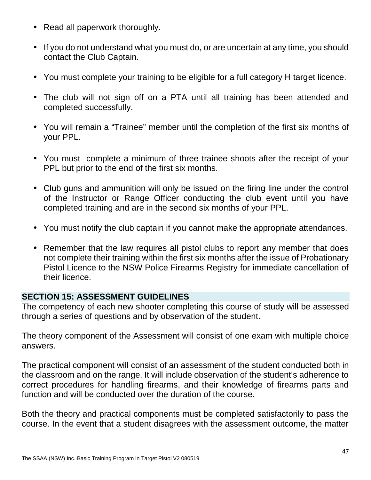- Read all paperwork thoroughly.
- If you do not understand what you must do, or are uncertain at any time, you should contact the Club Captain.
- You must complete your training to be eligible for a full category H target licence.
- The club will not sign off on a PTA until all training has been attended and completed successfully.
- You will remain a "Trainee" member until the completion of the first six months of your PPL.
- You must complete a minimum of three trainee shoots after the receipt of your PPL but prior to the end of the first six months.
- Club guns and ammunition will only be issued on the firing line under the control of the Instructor or Range Officer conducting the club event until you have completed training and are in the second six months of your PPL.
- You must notify the club captain if you cannot make the appropriate attendances.
- Remember that the law requires all pistol clubs to report any member that does not complete their training within the first six months after the issue of Probationary Pistol Licence to the NSW Police Firearms Registry for immediate cancellation of their licence.

### **SECTION 15: ASSESSMENT GUIDELINES**

The competency of each new shooter completing this course of study will be assessed through a series of questions and by observation of the student.

The theory component of the Assessment will consist of one exam with multiple choice answers.

The practical component will consist of an assessment of the student conducted both in the classroom and on the range. It will include observation of the student's adherence to correct procedures for handling firearms, and their knowledge of firearms parts and function and will be conducted over the duration of the course.

Both the theory and practical components must be completed satisfactorily to pass the course. In the event that a student disagrees with the assessment outcome, the matter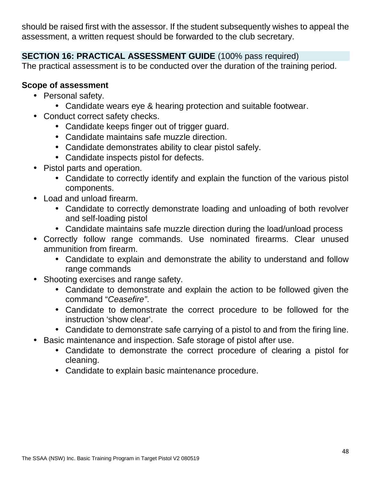should be raised first with the assessor. If the student subsequently wishes to appeal the assessment, a written request should be forwarded to the club secretary.

# **SECTION 16: PRACTICAL ASSESSMENT GUIDE** (100% pass required)

The practical assessment is to be conducted over the duration of the training period.

# **Scope of assessment**

- Personal safety.
	- Candidate wears eye & hearing protection and suitable footwear.
- Conduct correct safety checks.
	- Candidate keeps finger out of trigger guard.
	- Candidate maintains safe muzzle direction.
	- Candidate demonstrates ability to clear pistol safely.
	- Candidate inspects pistol for defects.
- Pistol parts and operation.
	- Candidate to correctly identify and explain the function of the various pistol components.
- Load and unload firearm.
	- Candidate to correctly demonstrate loading and unloading of both revolver and self-loading pistol
	- Candidate maintains safe muzzle direction during the load/unload process
- Correctly follow range commands. Use nominated firearms. Clear unused ammunition from firearm.
	- Candidate to explain and demonstrate the ability to understand and follow range commands
- Shooting exercises and range safety.
	- Candidate to demonstrate and explain the action to be followed given the command "*Ceasefire"*.
	- Candidate to demonstrate the correct procedure to be followed for the instruction 'show clear'.
	- Candidate to demonstrate safe carrying of a pistol to and from the firing line.
- Basic maintenance and inspection. Safe storage of pistol after use.
	- Candidate to demonstrate the correct procedure of clearing a pistol for cleaning.
	- Candidate to explain basic maintenance procedure.